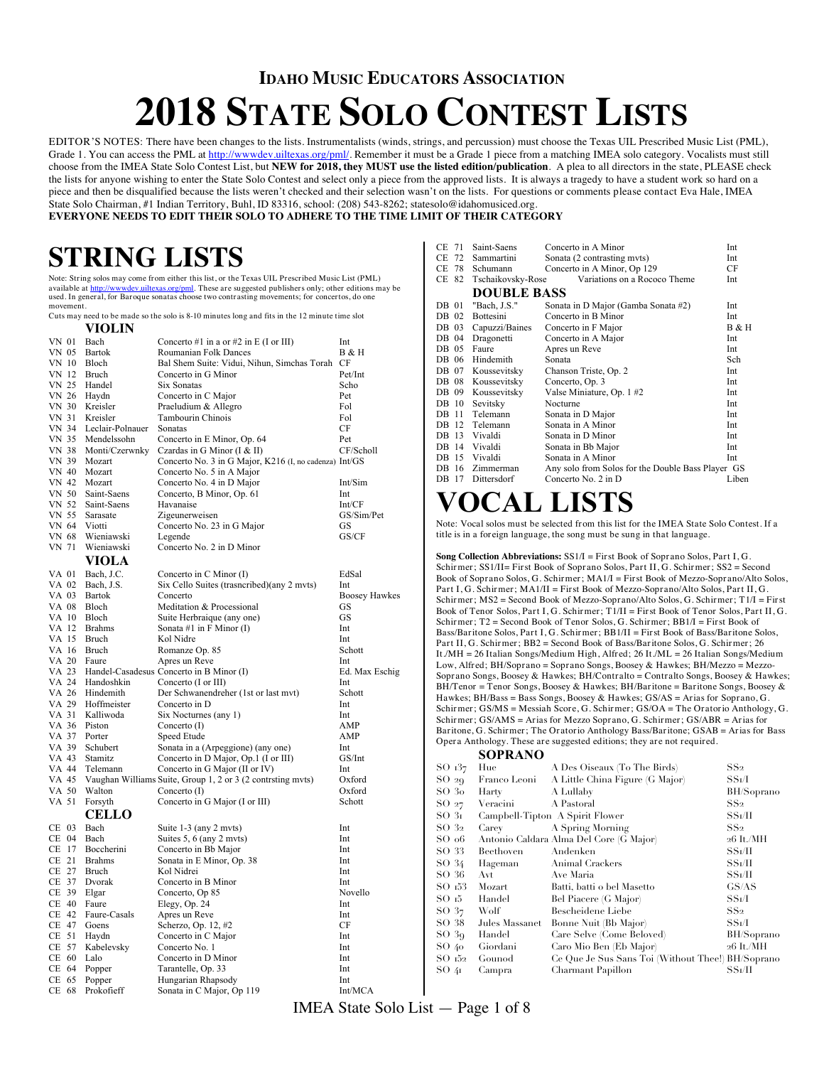# **IDAHO MUSIC EDUCATORS ASSOCIATION 2018 STATE SOLO CONTEST LISTS**

EDITOR'S NOTES: There have been changes to the lists. Instrumentalists (winds, strings, and percussion) must choose the Texas UIL Prescribed Music List (PML), Grade 1. You can access the PML at http://wwwdev.uiltexas.org/pml/. Remember it must be a Grade 1 piece from a matching IMEA solo category. Vocalists must still choose from the IMEA State Solo Contest List, but **NEW for 2018, they MUST use the listed edition/publication**. A plea to all directors in the state, PLEASE check the lists for anyone wishing to enter the State Solo Contest and select only a piece from the approved lists. It is always a tragedy to have a student work so hard on a piece and then be disqualified because the lists weren't checked and their selection wasn't on the lists. For questions or comments please contact Eva Hale, IMEA State Solo Chairman, #1 Indian Territory, Buhl, ID 83316, school: (208) 543-8262; statesolo@idahomusiced.org.

**EVERYONE NEEDS TO EDIT THEIR SOLO TO ADHERE TO THE TIME LIMIT OF THEIR CATEGORY**

## **STRING LISTS**

Note: String solos may come from either this list, or the Texas UIL Prescribed Music List (PML) available at http://wwwdev.uiltexas.org/pml. These are suggested publishers only; other editions may be used. In general, for Baroque sonatas choose two contrasting movements; for concertos, do one movement.

Cuts may need to be made so the solo is 8-10 minutes long and fits in the 12 minute time slot

|                | VIOLIN                |                                                                            |                      |
|----------------|-----------------------|----------------------------------------------------------------------------|----------------------|
| VN 01          | Bach                  | Concerto #1 in a or #2 in E (I or III)                                     | Int                  |
| VN 05          | Bartok                | Roumanian Folk Dances                                                      | B & H                |
| VN 10          | Bloch                 | Bal Shem Suite: Vidui, Nihun, Simchas Torah                                | CF                   |
| VN 12          | Bruch                 | Concerto in G Minor                                                        | Pet/Int              |
| VN 25          | Handel                | Six Sonatas                                                                | Scho                 |
| VN 26          | Haydn                 | Concerto in C Major                                                        | Pet                  |
| VN 30          | Kreisler              | Praeludium & Allegro                                                       | Fol                  |
| VN 31          | Kreisler              | Tambourin Chinois                                                          | Fol                  |
| VN 34          | Leclair-Polnauer      | Sonatas                                                                    | CF                   |
| VN 35          | Mendelssohn           | Concerto in E Minor, Op. 64                                                | Pet                  |
| VN 38          | Monti/Czerwnky        | Czardas in G Minor (I & II)                                                | CF/Scholl            |
| VN 39          | Mozart                | Concerto No. 3 in G Major, K216 (I, no cadenza) Int/GS                     |                      |
| VN 40          | Mozart                | Concerto No. 5 in A Major                                                  |                      |
| VN 42<br>VN 50 | Mozart<br>Saint-Saens | Concerto No. 4 in D Major<br>Concerto, B Minor, Op. 61                     | Int/Sim<br>Int       |
| VN 52          | Saint-Saens           | Havanaise                                                                  | Int/CF               |
| VN 55          | Sarasate              | Zigeunerweisen                                                             | GS/Sim/Pet           |
| VN 64          | Viotti                | Concerto No. 23 in G Major                                                 | GS                   |
| VN 68          | Wieniawski            | Legende                                                                    | GS/CF                |
| VN 71          | Wieniawski            | Concerto No. 2 in D Minor                                                  |                      |
|                | VIOLA                 |                                                                            |                      |
| VA 01          | Bach, J.C.            | Concerto in C Minor (I)                                                    | EdSal                |
| VA 02          | Bach, J.S.            | Six Cello Suites (trasncribed)(any 2 mvts)                                 | Int                  |
| VA 03          | Bartok                | Concerto                                                                   | <b>Boosey Hawkes</b> |
| VA 08          | Bloch                 | Meditation & Processional                                                  | GS                   |
| VA 10          | Bloch                 | Suite Herbraique (any one)                                                 | GS                   |
| VA 12          | <b>Brahms</b>         | Sonata #1 in F Minor (I)                                                   | Int                  |
| VA 15          | <b>Bruch</b>          | Kol Nidre                                                                  | Int                  |
| VA 16          | <b>Bruch</b>          | Romanze Op. 85                                                             | Schott               |
| VA 20          | Faure                 | Apres un Reve                                                              | Int                  |
| VA 23          |                       | Handel-Casadesus Concerto in B Minor (I)                                   | Ed. Max Eschig       |
| VA 24          | Handoshkin            | Concerto (I or III)                                                        | Int                  |
| VA 26          | Hindemith             | Der Schwanendreher (1st or last mvt)                                       | Schott               |
| VA 29          | Hoffmeister           | Concerto in D                                                              | Int                  |
| VA 31          | Kalliwoda             | Six Nocturnes (any 1)                                                      | Int                  |
| VA 36          | Piston                | Concerto (I)                                                               | AMP                  |
| VA 37<br>VA 39 | Porter<br>Schubert    | Speed Etude                                                                | AMP<br>Int           |
| VA 43          | Stamitz               | Sonata in a (Arpeggione) (any one)<br>Concerto in D Major, Op.1 (I or III) | GS/Int               |
| VA 44          | Telemann              | Concerto in G Major (II or IV)                                             | Int                  |
| VA 45          |                       | Vaughan Williams Suite, Group 1, 2 or 3 (2 contrsting mvts)                | Oxford               |
| VA 50          | Walton                | Concerto (I)                                                               | Oxford               |
| VA 51          | Forsyth               | Concerto in G Major (I or III)                                             | Schott               |
|                | <b>CELLO</b>          |                                                                            |                      |
| CE 03          | Bach                  | Suite 1-3 (any 2 myts)                                                     | Int                  |
| CE 04          | Bach                  | Suites 5, 6 (any 2 myts)                                                   | Int                  |
| CE 17          | Boccherini            | Concerto in Bb Major                                                       | Int                  |
| CE 21          | <b>Brahms</b>         | Sonata in E Minor, Op. 38                                                  | Int                  |
| CE 27          | Bruch                 | Kol Nidrei                                                                 | Int                  |
| CE 37          | Dvorak                | Concerto in B Minor                                                        | Int                  |
| CE 39          | Elgar                 | Concerto, Op 85                                                            | Novello              |
| CE 40          | Faure                 | Elegy, Op. 24                                                              | Int                  |
| CE 42          | Faure-Casals          | Apres un Reve                                                              | Int                  |
| CE 47          | Goens                 | Scherzo, Op. 12, #2                                                        | CF                   |
| CE 51          | Haydn                 | Concerto in C Major                                                        | Int                  |
| CE 57          | Kabelevsky            | Concerto No. 1                                                             | Int                  |
| CE 60          | Lalo                  | Concerto in D Minor                                                        | Int                  |
| CE 64          | Popper                | Tarantelle, Op. 33                                                         | Int                  |
| CE 65<br>CE 68 | Popper<br>Prokofieff  | Hungarian Rhapsody<br>Sonata in C Maior. On 119                            | Int<br>Int/MCA       |
|                |                       |                                                                            |                      |

| CE 71 | Saint-Saens      | Concerto in A Minor                 | Int                                                                                          |
|-------|------------------|-------------------------------------|----------------------------------------------------------------------------------------------|
| CE 72 | Sammartini       | Sonata (2 contrasting myts)         | Int                                                                                          |
| 78    | Schumann         | Concerto in A Minor, Op 129         | CF                                                                                           |
|       |                  | Variations on a Rococo Theme        | Int                                                                                          |
|       |                  |                                     |                                                                                              |
| DB 01 | "Bach, J.S."     | Sonata in D Major (Gamba Sonata #2) | Int                                                                                          |
| DB 02 | <b>Bottesini</b> | Concerto in B Minor                 | Int                                                                                          |
| DB 03 | Capuzzi/Baines   | Concerto in F Major                 | B & H                                                                                        |
| DB 04 | Dragonetti       | Concerto in A Major                 | Int                                                                                          |
| DB 05 | Faure            | Apres un Reve                       | Int                                                                                          |
| DB 06 | Hindemith        | Sonata                              | Sch                                                                                          |
| DB 07 | Koussevitsky     | Chanson Triste, Op. 2               | Int                                                                                          |
| DB 08 | Koussevitsky     | Concerto, Op. 3                     | Int                                                                                          |
| DB 09 | Koussevitsky     | Valse Miniature, Op. 1 #2           | Int                                                                                          |
| DB 10 | Sevitsky         | Nocturne                            | Int                                                                                          |
| DB 11 | Telemann         | Sonata in D Major                   | Int                                                                                          |
| DB 12 | Telemann         | Sonata in A Minor                   | Int                                                                                          |
| DB 13 | Vivaldi          | Sonata in D Minor                   | Int                                                                                          |
| DB 14 | Vivaldi          | Sonata in Bb Major                  | Int                                                                                          |
| DB 15 | Vivaldi          | Sonata in A Minor                   | Int                                                                                          |
| DB 16 | Zimmerman        |                                     |                                                                                              |
| DB 17 | Dittersdorf      | Concerto No. 2 in D.                | Liben                                                                                        |
|       |                  | CE 82                               | Tschaikovsky-Rose<br><b>DOUBLE BASS</b><br>Any solo from Solos for the Double Bass Player GS |

## **VOCAL LISTS**

Note: Vocal solos must be selected from this list for the IMEA State Solo Contest. If a title is in a foreign language, the song must be sung in that language.

**Song Collection Abbreviations:** SS1/I = First Book of Soprano Solos, Part I, G. Schirmer; SS1/II= First Book of Soprano Solos, Part II, G. Schirmer; SS2 = Second Book of Soprano Solos, G. Schirmer; MA1/I = First Book of Mezzo-Soprano/Alto Solos, Part I, G. Schirmer; MA1/II = First Book of Mezzo-Soprano/Alto Solos, Part II, G. Schirmer; MS2 = Second Book of Mezzo-Soprano/Alto Solos, G. Schirmer; T1/I = First Book of Tenor Solos, Part I, G. Schirmer; T1/II = First Book of Tenor Solos, Part II, G. Schirmer; T2 = Second Book of Tenor Solos, G. Schirmer; BB1/I = First Book of Bass/Baritone Solos, Part I, G. Schirmer; BB1/II = First Book of Bass/Baritone Solos, Part II, G. Schirmer; BB2 = Second Book of Bass/Baritone Solos, G. Schirmer; 26 It./MH = 26 Italian Songs/Medium High, Alfred; 26 It./ML = 26 Italian Songs/Medium Low, Alfred; BH/Soprano = Soprano Songs, Boosey & Hawkes; BH/Mezzo = Mezzo-Soprano Songs, Boosey & Hawkes; BH/Contralto = Contralto Songs, Boosey & Hawkes;  $B$ H/Tenor = Tenor Songs, Boosey & Hawkes; BH/Baritone = Baritone Songs, Boosey & Hawkes; BH/Bass = Bass Songs, Boosey & Hawkes; GS/AS = Arias for Soprano, G. Schirmer;  $GS/MS = Messiah$  Score, G. Schirmer;  $GS/OA = The$ Oratorio Anthology, G. Schirmer; GS/AMS = Arias for Mezzo Soprano, G. Schirmer; GS/ABR = Arias for Baritone, G. Schirmer; The Oratorio Anthology Bass/Baritone; GSAB = Arias for Bass Opera Anthology. These are suggested editions; they are not required.

### **SOPRANO**

| SO 137 | Hue            | A Des Oiseaux (To The Birds)                      | SS <sub>2</sub>   |
|--------|----------------|---------------------------------------------------|-------------------|
| SO 29. |                | Franco Leoni A Little China Figure (G Major)      | SSI/1             |
| SO 30. | Harty          | A Lullaby                                         | <b>BH/Soprano</b> |
| SO 27  | Veracini       | A Pastoral                                        | SS <sub>2</sub>   |
| SO 31. |                | Campbell-Tipton A Spirit Flower                   | SSI/II            |
| SO 32  | Carev          | A Spring Morning                                  | SS <sub>2</sub>   |
| SO 06  |                | Antonio Caldara Alma Del Core (G Major)           | $26$ It./MH       |
| SO 33  | Beethoven      | Andenken                                          | SSI/II            |
| SO 34  | Hageman        | Animal Crackers                                   | SSI/II            |
| SO 36  | Avt            | Ave Maria                                         | SSI/II            |
| SO 153 | Mozart         | Batti, batti o bel Masetto                        | GS/AS             |
| SO 15. | Handel         | Bel Piacere (G Major)                             | SSI/1             |
| SO 37  | Wolf           | <b>Bescheidene Liebe</b>                          | SS <sub>2</sub>   |
| SO 38  | Jules Massanet | Bonne Nuit (Bb Major)                             | SSI/1             |
| SO 39. | Handel         | Care Selve (Come Beloved)                         | BH/Soprano        |
| SO 40- | Giordani       | Caro Mio Ben (Eb Major)                           | 26 It./MH         |
| SO 152 | Gounod         | Ce Que Je Sus Sans Toi (Without Thee!) BH/Soprano |                   |
| SO 41  | Campra         | Charmant Papillon                                 | SS1/II            |
|        |                |                                                   |                   |

IMEA State Solo List — Page 1 of 8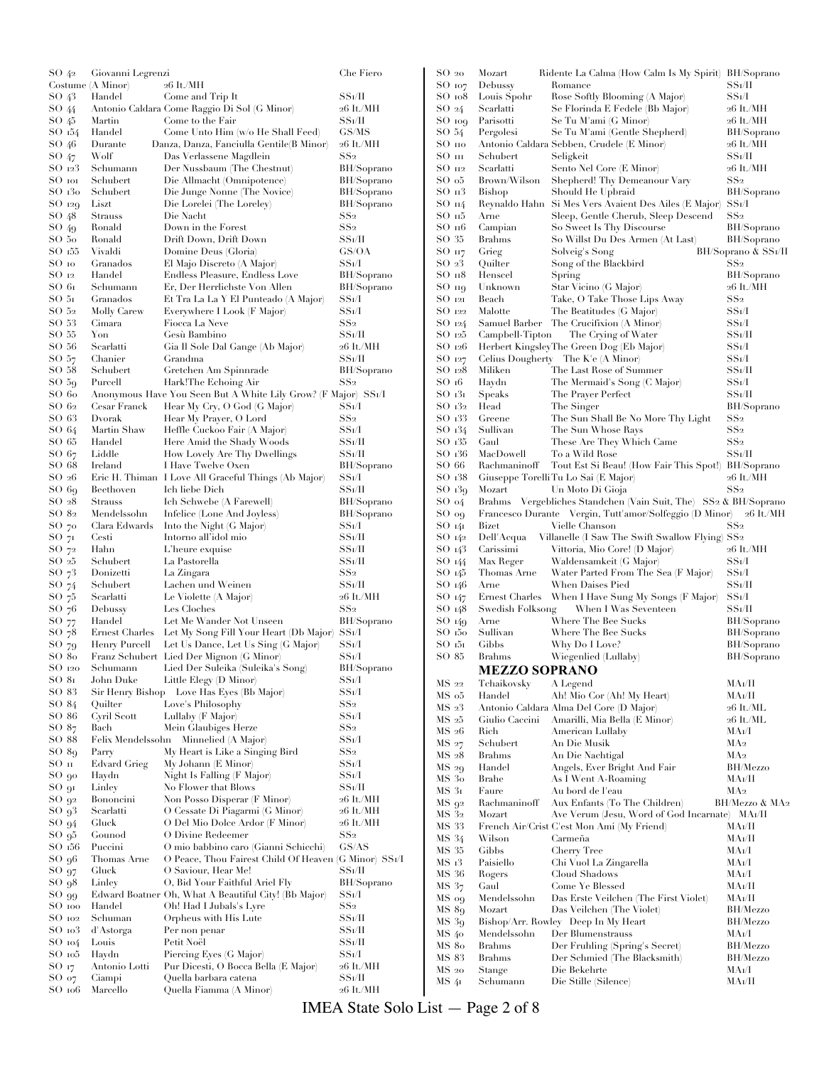| SO 42             | Giovanni Legrenzi      |                                                                                        | Che Fiero           |
|-------------------|------------------------|----------------------------------------------------------------------------------------|---------------------|
|                   | Costume (A Minor)      | 26 It./MH                                                                              |                     |
| SO 43             | Handel                 | Come and Trip It                                                                       | SS1/II              |
| SO 44             |                        | Antonio Caldara Come Raggio Di Sol (G Minor)                                           | 26 It./MH<br>SSI/II |
| SO 45             | Martin                 | Come to the Fair                                                                       | GS/MS               |
| SO 154<br>SO 46   | Handel<br>Durante      | Come Unto Him (w/o He Shall Feed)<br>Danza, Danza, Fanciulla Gentile(B Minor)          | 26 It./MH           |
| SO 47             | Wolf                   | Das Verlassene Magdlein                                                                | SS2                 |
| SO 123            | Schumann               | Der Nussbaum (The Chestnut)                                                            | BH/Soprano          |
| $SO$ 101          | Schubert               | Die Allmacht (Omnipotence)                                                             | BH/Soprano          |
| SO 130            | Schubert               | Die Junge Nonne (The Novice)                                                           | BH/Soprano          |
| SO 129            | Liszt                  | Die Lorelei (The Loreley)                                                              | BH/Soprano          |
| SO 48             | Strauss                | Die Nacht                                                                              | SS <sub>2</sub>     |
| SO 49             | Ronald                 | Down in the Forest                                                                     | SS2                 |
| SO 50             | Ronald                 | Drift Down, Drift Down                                                                 | SS1/II              |
| SO 155            | Vivaldi                | Domine Deus (Gloria)                                                                   | GS/OA               |
| SO 10             | Granados               | El Majo Discreto (A Major)                                                             | SSI/                |
| SO 12             | Handel                 | Endless Pleasure, Endless Love                                                         | BH/Soprano          |
| SO 61             | Schumann               | Er, Der Herrlichste Von Allen                                                          | BH/Soprano          |
| SO 51             | Granados               | Et Tra La La Y El Punteado (A Major)                                                   | SS1/I               |
| SO 52             | Molly Carew            | Everywhere I Look (F Major)                                                            | SS1/I               |
| SO 53             | Cimara                 | Fiocca La Neve                                                                         | SS2                 |
| SO 55             | Yon                    | Gesù Bambino                                                                           | SSI/II              |
| SO 56             | Scarlatti              | Gia Il Sole Dal Gange (Ab Major)                                                       | 26 It./MH           |
| SO 57             | Chanier                | Grandma                                                                                | SS1/II              |
| SO 58             | Schubert               | Gretchen Am Spinnrade                                                                  | BH/Soprano          |
| SO 59             | Purcell                | Hark!The Echoing Air                                                                   | SS2                 |
| SO 60             |                        | Anonymous Have You Seen But A White Lily Grow? (F Major) SS1/I                         | SS1/I               |
| SO 62<br>SO 63    | Cesar Franck<br>Dvorak | Hear My Cry, O God (G Major)                                                           | SS2                 |
| SO 64             | Martin Shaw            | Hear My Prayer, O Lord<br>Heffle Cuckoo Fair (A Major)                                 | SS1/I               |
| SO 65             | Handel                 | Here Amid the Shady Woods                                                              | SS1/II              |
| SO 67             | Liddle                 | How Lovely Are Thy Dwellings                                                           | SS1/II              |
| SO 68             | Ireland                | I Have Twelve Oxen                                                                     | BH/Soprano          |
| SO 26             |                        | Eric H. Thiman I Love All Graceful Things (Ab Major)                                   | SS1/I               |
| SO 69             | Beethoven              | Ich liebe Dich                                                                         | SS1/II              |
| SO 28             | Strauss                | Ich Schwebe (A Farewell)                                                               | BH/Soprano          |
| SO 82             | Mendelssohn            | Infelice (Lone And Joyless)                                                            | BH/Soprano          |
| SO 70             | Clara Edwards          | Into the Night (G Major)                                                               | SS1/I               |
| SO 71             | Cesti                  | Intorno all'idol mio                                                                   | SS1/II              |
| SO 72             | Hahn                   | L'heure exquise                                                                        | SS1/II              |
| SO <sub>25</sub>  | Schubert               | La Pastorella                                                                          | SS1/II              |
| SO 73             | Donizetti              | La Zingara                                                                             | SS2                 |
| SO 74             | Schubert               | Lachen und Weinen                                                                      | SSI/II              |
| SO <sub>75</sub>  | Scarlatti              | Le Violette (A Major)                                                                  | 26 It./MH           |
| SO <sub>76</sub>  | Debussy                | Les Cloches                                                                            | SS2                 |
| SO 77             | Handel                 | Let Me Wander Not Unseen                                                               | BH/Soprano          |
| SO <sub>7</sub> 8 | Ernest Charles         | Let My Song Fill Your Heart (Db Major)                                                 | SS1/I<br>SSI/       |
| SO 79<br>SO 80    | Henry Purcell          | Let Us Dance, Let Us Sing (G Major)<br>Franz Schubert Lied Der Mignon (G Minor)        | SS1/I               |
| SO 120            | Schumann               | Lied Der Suleika (Suleika's Song)                                                      | BH/Soprano          |
| SO 81             | John Duke              | Little Elegy (D Minor)                                                                 | SSI/                |
| SO 83             | Sir Henry Bishop       | Love Has Eyes (Bb Major)                                                               | SS1/I               |
| SO 84             | Quilter                | Love's Philosophy                                                                      | SS2                 |
| SO 86             | Cyril Scott            | Lullaby (F Major)                                                                      | SS1/I               |
| SO 87             | Bach                   | Mein Glaubiges Herze                                                                   | SS2                 |
| SO 88             | Felix Mendelssohn      | Minnelied (A Major)                                                                    | SS1/I               |
| SO 89             | Parry                  | My Heart is Like a Singing Bird                                                        | SS2                 |
| SO 11             | Edvard Grieg           | My Johann (E Minor)                                                                    | SS1/I               |
| $SO$ 90           | Haydn                  | Night Is Falling (F Major)                                                             | SS1/I               |
| SO 91             | Linley                 | No Flower that Blows                                                                   | SS1/II              |
| SO 92             | Bononcini              | Non Posso Disperar (F Minor)                                                           | 26 It./MH           |
| SO 93             | Scarlatti              | O Cessate Di Piagarmi (G Minor)                                                        | 26 It./MH           |
| SO 94             | Gluck                  | O Del Mio Dolce Ardor (F Minor)                                                        | 26 It./MH           |
| SO 95             | Gounod                 | O Divine Redeemer                                                                      | SS <sub>2</sub>     |
| SO 156            | Puccini                | O mio babbino caro (Gianni Schicchi)                                                   | GS/AS               |
| SO 96             | Thomas Arne            | O Peace, Thou Fairest Child Of Heaven (G Minor) SS1/I                                  |                     |
| SO 97             | Gluck                  | O Saviour, Hear Me!                                                                    | SS1/II              |
| SO 98<br>SO 99    | Linley                 | O, Bid Your Faithful Ariel Fly<br>Edward Boatner Oh, What A Beautiful City! (Bb Major) | BH/Soprano<br>SS1/1 |
| SO 100            | Handel                 | Oh! Had I Jubals's Lyre                                                                | SS2                 |
| $SO$ 102          | Schuman                | Orpheus with His Lute                                                                  | SS1/II              |
| SO 103            | d'Astorga              | Per non penar                                                                          | SSī/II              |
| SO 104            | Louis                  | Petit Noël                                                                             | SS1/II              |
| SO 105            | Haydn                  | Piercing Eyes (G Major)                                                                | SS1/I               |
| SO 17             | Antonio Lotti          | Pur Dicesti, O Bocca Bella (E Major)                                                   | 26 It./MH           |
| SO 07             | Ciampi                 | Quella barbara catena                                                                  | SSī/II              |
| SO 106            | Marcello               | Quella Fiamma (A Minor)                                                                | 26 It./MH           |

| SO 20  | Mozart               | Ridente La Calma (How Calm Is My Spirit) BH/Soprano                   |                     |
|--------|----------------------|-----------------------------------------------------------------------|---------------------|
| SO 107 | Debussy              | Romance                                                               | SS1/II              |
| SO 108 | Louis Spohr          | Rose Softly Blooming (A Major)                                        | SS1/I               |
|        | Scarlatti            |                                                                       | 26 It./MH           |
| SO 24  |                      | Se Florinda E Fedele (Bb Major)                                       |                     |
| SO 109 | Parisotti            | Se Tu M'ami (G Minor)                                                 | 26 It./MH           |
| SO 54  | Pergolesi            | Se Tu M'ami (Gentle Shepherd)                                         | BH/Soprano          |
| SO 110 |                      | Antonio Caldara Sebben, Crudele (E Minor)                             | 26 It./MH           |
| SO 111 | Schubert             | Seligkeit                                                             | SSI/II              |
| SO 112 | Scarlatti            | Sento Nel Core (E Minor)                                              | 26 It./MH           |
| SO 05  | Brown/Wilson         | Shepherd! Thy Demeanour Vary                                          | SS <sub>2</sub>     |
| SO 113 | Bishop               | Should He Upbraid                                                     | BH/Soprano          |
| SO 114 |                      | Reynaldo Hahn Si Mes Vers Avaient Des Ailes (E Major)                 | SSI/1               |
| SO 115 | Arne                 | Sleep, Gentle Cherub, Sleep Descend                                   | SS <sub>2</sub>     |
| SO 116 | Campian              | So Sweet Is Thy Discourse                                             | BH/Soprano          |
| SO 35  |                      |                                                                       |                     |
|        | Brahms               | So Willst Du Des Armen (At Last)                                      | BH/Soprano          |
| SO 117 | Grieg                | Solveig's Song                                                        | BH/Soprano & SS1/II |
| SO 23  | Quilter              | Song of the Blackbird                                                 | SS <sub>2</sub>     |
| SO 118 | Henscel              | Spring                                                                | BH/Soprano          |
| SO 119 | Unknown              | Star Vicino (G Major)                                                 | 26 It./MH           |
| SO 121 | Beach                | Take, O Take Those Lips Away                                          | SS <sub>2</sub>     |
| SO 122 | Malotte              | The Beatitudes (G Major)                                              | SS1/I               |
| SO 124 | Samuel Barber        | The Crucifixion (A Minor)                                             | SS1/I               |
| SO 125 | Campbell-Tipton      | The Crying of Water                                                   | SSI/II              |
| SO 126 |                      | Herbert KingsleyThe Green Dog (Eb Major)                              | SSI/1               |
| SO 127 | Celius Dougherty     | The $K'$ e (A Minor)                                                  | SSI/                |
| SO 128 | Miliken              | The Last Rose of Summer                                               | SS1/II              |
| SO 16  |                      |                                                                       | SSI/1               |
|        | Haydn                | The Mermaid's Song (C Major)                                          |                     |
| SO 131 | Speaks               | The Prayer Perfect                                                    | SS1/II              |
| SO 132 | Head                 | The Singer                                                            | BH/Soprano          |
| SO 133 | Greene               | The Sun Shall Be No More Thy Light                                    | SS2                 |
| SO 134 | Sullivan             | The Sun Whose Rays                                                    | SS2                 |
| SO 135 | Gaul                 | These Are They Which Came                                             | SS <sub>2</sub>     |
| SO 136 | MacDowell            | To a Wild Rose                                                        | SSI/II              |
| SO 66  | Rachmaninoff         | Tout Est Si Beau! (How Fair This Spot!) BH/Soprano                    |                     |
| SO 138 |                      | Giuseppe Torelli Tu Lo Sai (E Major)                                  | 26 It./MH           |
| SO 139 | Mozart               | Un Moto Di Gioja                                                      | SS <sub>2</sub>     |
| SO 04  | Brahms               | Vergebliches Standchen (Vain Suit, The) SS2 & BH/Soprano              |                     |
|        |                      | Francesco Durante Vergin, Tutt'amor/Solfeggio (D Minor) 26 It./MH     |                     |
| SO 09  |                      |                                                                       |                     |
| SO 141 | Bizet                | Vielle Chanson                                                        | SS2                 |
| SO 142 |                      | Villanelle (I Saw The Swift Swallow Flying) SS2                       |                     |
|        | Dell'Acqua           |                                                                       |                     |
| SO 143 | Carissimi            | Vittoria, Mio Core! (D Major)                                         | 26 It./MH           |
| SO 144 | Max Reger            | Waldensamkeit (G Major)                                               | SSI/                |
| SO 145 | Thomas Arne          | Water Parted From The Sea (F Major)                                   | SSI/1               |
| SO 146 | Arne                 | When Daises Pied                                                      | SSI/II              |
| SO 147 | Ernest Charles       | When I Have Sung My Songs (F Major)                                   | SSI/1               |
|        |                      | When I Was Seventeen                                                  | SSI/II              |
| SO 148 | Swedish Folksong     |                                                                       |                     |
| SO 149 | Arne                 | Where The Bee Sucks                                                   | BH/Soprano          |
| SO 150 | Sullivan             | Where The Bee Sucks                                                   | BH/Soprano          |
| SO 151 | Gibbs                | Why Do I Love?                                                        | BH/Soprano          |
| SO 85  | Brahms               | Wiegenlied (Lullaby)                                                  | BH/Soprano          |
|        | <b>MEZZO SOPRANO</b> |                                                                       |                     |
| MS 22  | Tchaikovsky          | A Legend                                                              | MA1/II              |
| MS 05  | Handel               |                                                                       | MA1/II              |
| MS 23  |                      | Ah! Mio Cor (Ah! My Heart)<br>Antonio Caldara Alma Del Core (D Major) | 26 It./ML           |
| MS 25  | Giulio Caccini       | Amarilli, Mia Bella (E Minor)                                         | 26 It./ML           |
|        | Rich                 |                                                                       | MA1/I               |
| MS 26  |                      | American Lullaby                                                      |                     |
| MS 27  | Schubert             | An Die Musik                                                          | MA2                 |
| MS 28  | Brahms               | An Die Nachtigal                                                      | MA2                 |
| MS 29  | Handel               | Angels, Ever Bright And Fair                                          | <b>BH/Mezzo</b>     |
| MS 30  | Brahe                | As I Went A-Roaming                                                   | MA1/II              |
| MS 31  | Faure                | Au bord de l'eau                                                      | MA2                 |
| MS 92  | Rachmaninoff         | Aux Enfants (To The Children)                                         | BH/Mezzo & MA2      |
| MS 32  | Mozart               | Ave Verum (Jesu, Word of God Incarnate) -                             | -MA1/II             |
| MS 33  |                      | French Air/Crist C'est Mon Ami (My Friend)                            | MA1/II              |
| MS 34  | Wilson               | Carmeña                                                               | MA1/II              |
| MS 35  | Gibbs                | Cherry Tree                                                           | MA1/I               |
| MS 13  | Paisiello            | Chi Vuol La Zingarella                                                | MA1/I               |
|        |                      |                                                                       |                     |
| MS 36  | Rogers               | Cloud Shadows                                                         | MA1/I               |
| MS 37  | Gaul                 | Come Ye Blessed                                                       | MA1/II              |
| MS 09  | Mendelssohn          | Das Erste Veilchen (The First Violet)                                 | MA1/II              |
| MS 89  | Mozart               | Das Veilchen (The Violet)                                             | <b>BH/Mezzo</b>     |
| MS 39  |                      | Bishop/Arr. Rowley Deep In My Heart                                   | <b>BH/Mezzo</b>     |
| MS 40  | Mendelssohn          | Der Blumenstrauss                                                     | MA1/I               |
| MS 80  | <b>Brahms</b>        | Der Fruhling (Spring's Secret)                                        | <b>BH/Mezzo</b>     |
| MS 83  | Brahms               | Der Schmied (The Blacksmith)                                          | <b>BH/Mezzo</b>     |
| MS 20  | Stange               | Die Bekehrte                                                          | MA1/I               |
| MS 41  | Schumann             | Die Stille (Silence)                                                  | MA1/II              |

IMEA State Solo List — Page 2 of 8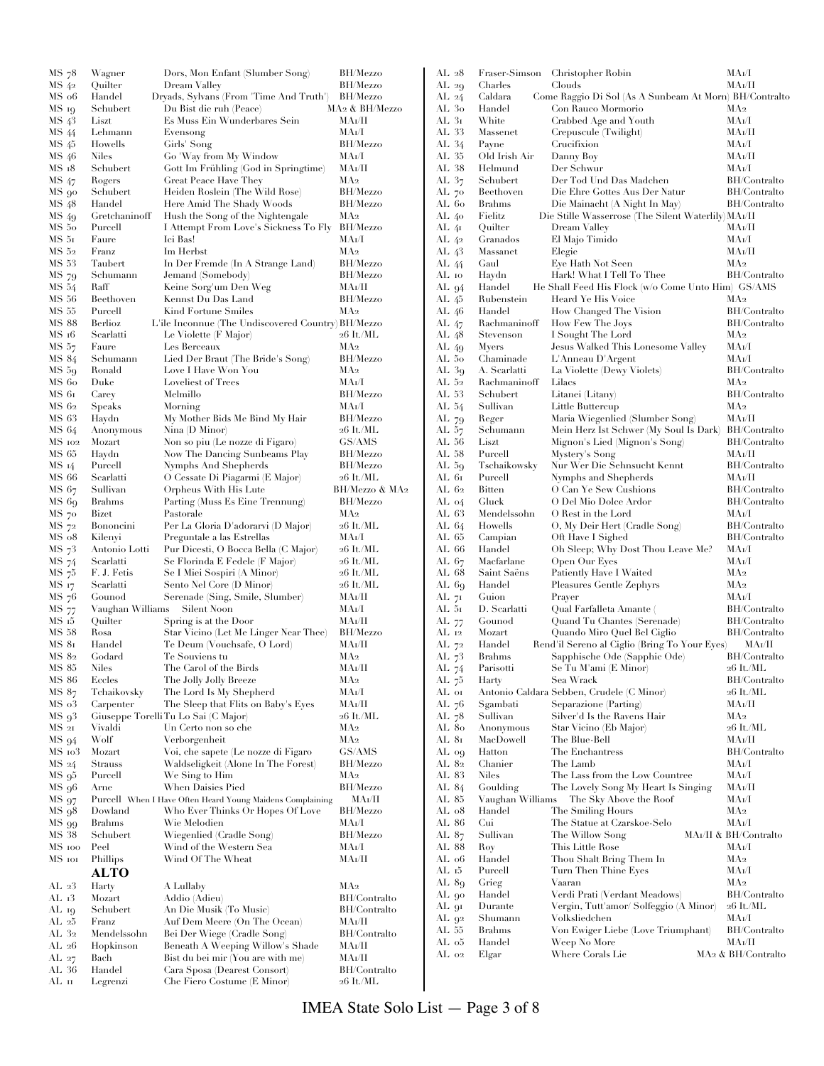| MS 42<br>Dream Valley<br>Quilter<br>MS 06<br>Handel<br>Dryads, Sylvans (From 'Time And Truth')<br>MS 19<br>Schubert<br>Du Bist die ruh (Peace)<br>MS 43<br>Es Muss Ein Wunderbares Sein<br>Liszt<br>MS 44<br>Lehmann<br>Evensong<br>MS 45<br>Girls' Song<br>Howells<br>MS 46<br>Niles<br>Go 'Way from My Window<br>MA1/I<br>MS 18<br>Schubert<br>Gott Im Frühling (God in Springtime)<br>MS 47<br>Great Peace Have They<br>MA2<br>Rogers<br>Heiden Roslein (The Wild Rose)<br>MS 90<br>Schubert<br>MS 48<br>Handel<br>Here Amid The Shady Woods<br>MS 49<br>Gretchaninoff<br>Hush the Song of the Nightengale<br>MA2<br>MS 50<br>Purcell<br>I Attempt From Love's Sickness To Fly<br>MS 51<br>Ici Bas!<br>Faure<br>MS 52<br>Im Herbst<br>MA2<br>Franz<br>MS 53<br>Taubert<br>In Der Fremde (In A Strange Land)<br>Schumann<br>MS 79<br>Jemand (Somebody)<br>Raff<br>Keine Sorg'um Den Weg<br>MS 54<br>MS 56<br>Beethoven<br>Kennst Du Das Land<br>MS 55<br>Purcell<br>Kind Fortune Smiles<br>MS 88<br>Berlioz<br>L'ile Inconnue (The Undiscovered Country) BH/Mezzo<br>MS 16<br>Searlatti<br>Le Violette (F Major)<br>MS 57<br>Faure<br>Les Berceaux<br>MS 84<br>Lied Der Braut (The Bride's Song)<br>Schumann<br>MS 59<br>Love I Have Won You<br>Ronald<br><b>Loveliest of Trees</b><br>MS 60<br>Duke<br>MS 61<br>Melmillo<br>Carey<br>MS 62<br>Speaks<br>Morning<br>MS 63<br>Haydn<br>My Mother Bids Me Bind My Hair<br>MS 64<br>Nina (D Minor)<br>Anonymous<br>MS 102<br>Non so piu (Le nozze di Figaro)<br>Mozart<br>MS 65<br>Now The Dancing Sunbeams Play<br>Haydn<br>MS 14<br>Nymphs And Shepherds<br>Purcell<br>MS 66<br>Scarlatti<br>O Cessate Di Piagarmi (E Major)<br>MS 67<br>Orpheus With His Lute<br>Sullivan<br>MS 69<br>Parting (Muss Es Eine Trennung)<br>Brahms<br>MA2<br>MS 70<br>Bizet<br>Pastorale<br>MS 72<br>Per La Gloria D'adorarvi (D Major)<br>Bononcini<br>MS 08<br>Kilenyi<br>Preguntale a las Estrellas<br>MA1/1<br>MS 73<br>Antonio Lotti<br>Pur Dicesti, O Bocca Bella (C Major)<br>MS 74<br>Scarlatti<br>Se Florinda E Fedele (F Major)<br>MS 75<br>F. J. Fetis<br>Se I Miei Sospiri (A Minor)<br>MS 17<br>Scarlatti<br>Sento Nel Core (D Minor)<br>MS 76<br>Serenade (Sing, Smile, Slumber)<br>Gounod<br>MS 77<br>Vaughan Williams<br>Silent Noon<br>MS 15<br>Quilter<br>Spring is at the Door<br>MS 58<br>Star Vicino (Let Me Linger Near Thee)<br>Rosa<br>MS 81<br>Te Deum (Vouchsafe, O Lord)<br>Handel<br>MS 82<br>Godard<br>Te Souviens tu<br>MS 85<br>The Carol of the Birds<br>Niles<br>MS 86<br>Eccles<br>The Jolly Jolly Breeze<br>MS 87<br>Tehaikovsky<br>The Lord Is My Shepherd<br>MS 03<br>The Sleep that Flits on Baby's Eyes<br>Carpenter<br>MS 93<br>Giuseppe TorelliTu Lo Sai (C Major)<br>MS 21<br>Vivaldi<br>Un Certo non so che<br>Wolf<br>MS 94<br>Verborgenheit<br>MS 103<br>Mozart<br>Voi, che sapete (Le nozze di Figaro<br>MS 24<br>Strauss<br>Waldseligkeit (Alone In The Forest)<br>MS 95<br>Purcell<br>We Sing to Him<br>MA2<br>MS 96<br>When Daisies Pied<br>Arne<br>MS 97<br>Purcell When I Have Often Heard Young Maidens Complaining<br>MS 98<br>Who Ever Thinks Or Hopes Of Love<br>Dowland<br>MA1/I<br>MS 99<br>Brahms<br>Wie Melodien<br>MS 38<br>Schubert<br>Wiegenlied (Cradle Song)<br>Wind of the Western Sea<br>MS 100<br>Peel<br>MS 101<br>Wind Of The Wheat<br>Phillips<br><b>ALTO</b><br>MA2<br>AL 23<br>Harty<br>A Lullaby<br>AL 13<br>Mozart<br>Addio (Adieu)<br>AL 19<br>Schubert<br>An Die Musik (To Music)<br>AL 25<br>Franz<br>Auf Dem Meere (On The Ocean)<br>AL 32<br>Bei Der Wiege (Cradle Song)<br>Mendelssohn<br>AL 26<br>Beneath A Weeping Willow's Shade<br>Hopkinson<br>AL 27<br>Bist du bei mir (You are with me)<br>Bach<br>AL 36<br>Handel<br>Cara Sposa (Dearest Consort) | MS 78 | Wagner   | Dors, Mon Enfant (Slumber Song) | <b>BH/Mezzo</b>                     |
|--------------------------------------------------------------------------------------------------------------------------------------------------------------------------------------------------------------------------------------------------------------------------------------------------------------------------------------------------------------------------------------------------------------------------------------------------------------------------------------------------------------------------------------------------------------------------------------------------------------------------------------------------------------------------------------------------------------------------------------------------------------------------------------------------------------------------------------------------------------------------------------------------------------------------------------------------------------------------------------------------------------------------------------------------------------------------------------------------------------------------------------------------------------------------------------------------------------------------------------------------------------------------------------------------------------------------------------------------------------------------------------------------------------------------------------------------------------------------------------------------------------------------------------------------------------------------------------------------------------------------------------------------------------------------------------------------------------------------------------------------------------------------------------------------------------------------------------------------------------------------------------------------------------------------------------------------------------------------------------------------------------------------------------------------------------------------------------------------------------------------------------------------------------------------------------------------------------------------------------------------------------------------------------------------------------------------------------------------------------------------------------------------------------------------------------------------------------------------------------------------------------------------------------------------------------------------------------------------------------------------------------------------------------------------------------------------------------------------------------------------------------------------------------------------------------------------------------------------------------------------------------------------------------------------------------------------------------------------------------------------------------------------------------------------------------------------------------------------------------------------------------------------------------------------------------------------------------------------------------------------------------------------------------------------------------------------------------------------------------------------------------------------------------------------------------------------------------------------------------------------------------------------------------------------------------------------------------------------------------------------------------------------------------------------------------------------------------------------------------------------------------------------|-------|----------|---------------------------------|-------------------------------------|
|                                                                                                                                                                                                                                                                                                                                                                                                                                                                                                                                                                                                                                                                                                                                                                                                                                                                                                                                                                                                                                                                                                                                                                                                                                                                                                                                                                                                                                                                                                                                                                                                                                                                                                                                                                                                                                                                                                                                                                                                                                                                                                                                                                                                                                                                                                                                                                                                                                                                                                                                                                                                                                                                                                                                                                                                                                                                                                                                                                                                                                                                                                                                                                                                                                                                                                                                                                                                                                                                                                                                                                                                                                                                                                                                                                          |       |          |                                 | <b>BH/Mezzo</b>                     |
|                                                                                                                                                                                                                                                                                                                                                                                                                                                                                                                                                                                                                                                                                                                                                                                                                                                                                                                                                                                                                                                                                                                                                                                                                                                                                                                                                                                                                                                                                                                                                                                                                                                                                                                                                                                                                                                                                                                                                                                                                                                                                                                                                                                                                                                                                                                                                                                                                                                                                                                                                                                                                                                                                                                                                                                                                                                                                                                                                                                                                                                                                                                                                                                                                                                                                                                                                                                                                                                                                                                                                                                                                                                                                                                                                                          |       |          |                                 | <b>BH/Mezzo</b>                     |
|                                                                                                                                                                                                                                                                                                                                                                                                                                                                                                                                                                                                                                                                                                                                                                                                                                                                                                                                                                                                                                                                                                                                                                                                                                                                                                                                                                                                                                                                                                                                                                                                                                                                                                                                                                                                                                                                                                                                                                                                                                                                                                                                                                                                                                                                                                                                                                                                                                                                                                                                                                                                                                                                                                                                                                                                                                                                                                                                                                                                                                                                                                                                                                                                                                                                                                                                                                                                                                                                                                                                                                                                                                                                                                                                                                          |       |          |                                 | MA2 & BH/Mezzo                      |
|                                                                                                                                                                                                                                                                                                                                                                                                                                                                                                                                                                                                                                                                                                                                                                                                                                                                                                                                                                                                                                                                                                                                                                                                                                                                                                                                                                                                                                                                                                                                                                                                                                                                                                                                                                                                                                                                                                                                                                                                                                                                                                                                                                                                                                                                                                                                                                                                                                                                                                                                                                                                                                                                                                                                                                                                                                                                                                                                                                                                                                                                                                                                                                                                                                                                                                                                                                                                                                                                                                                                                                                                                                                                                                                                                                          |       |          |                                 | MA1/II                              |
|                                                                                                                                                                                                                                                                                                                                                                                                                                                                                                                                                                                                                                                                                                                                                                                                                                                                                                                                                                                                                                                                                                                                                                                                                                                                                                                                                                                                                                                                                                                                                                                                                                                                                                                                                                                                                                                                                                                                                                                                                                                                                                                                                                                                                                                                                                                                                                                                                                                                                                                                                                                                                                                                                                                                                                                                                                                                                                                                                                                                                                                                                                                                                                                                                                                                                                                                                                                                                                                                                                                                                                                                                                                                                                                                                                          |       |          |                                 | MA1/I                               |
|                                                                                                                                                                                                                                                                                                                                                                                                                                                                                                                                                                                                                                                                                                                                                                                                                                                                                                                                                                                                                                                                                                                                                                                                                                                                                                                                                                                                                                                                                                                                                                                                                                                                                                                                                                                                                                                                                                                                                                                                                                                                                                                                                                                                                                                                                                                                                                                                                                                                                                                                                                                                                                                                                                                                                                                                                                                                                                                                                                                                                                                                                                                                                                                                                                                                                                                                                                                                                                                                                                                                                                                                                                                                                                                                                                          |       |          |                                 | <b>BH/Mezzo</b>                     |
|                                                                                                                                                                                                                                                                                                                                                                                                                                                                                                                                                                                                                                                                                                                                                                                                                                                                                                                                                                                                                                                                                                                                                                                                                                                                                                                                                                                                                                                                                                                                                                                                                                                                                                                                                                                                                                                                                                                                                                                                                                                                                                                                                                                                                                                                                                                                                                                                                                                                                                                                                                                                                                                                                                                                                                                                                                                                                                                                                                                                                                                                                                                                                                                                                                                                                                                                                                                                                                                                                                                                                                                                                                                                                                                                                                          |       |          |                                 |                                     |
|                                                                                                                                                                                                                                                                                                                                                                                                                                                                                                                                                                                                                                                                                                                                                                                                                                                                                                                                                                                                                                                                                                                                                                                                                                                                                                                                                                                                                                                                                                                                                                                                                                                                                                                                                                                                                                                                                                                                                                                                                                                                                                                                                                                                                                                                                                                                                                                                                                                                                                                                                                                                                                                                                                                                                                                                                                                                                                                                                                                                                                                                                                                                                                                                                                                                                                                                                                                                                                                                                                                                                                                                                                                                                                                                                                          |       |          |                                 | MA1/II                              |
|                                                                                                                                                                                                                                                                                                                                                                                                                                                                                                                                                                                                                                                                                                                                                                                                                                                                                                                                                                                                                                                                                                                                                                                                                                                                                                                                                                                                                                                                                                                                                                                                                                                                                                                                                                                                                                                                                                                                                                                                                                                                                                                                                                                                                                                                                                                                                                                                                                                                                                                                                                                                                                                                                                                                                                                                                                                                                                                                                                                                                                                                                                                                                                                                                                                                                                                                                                                                                                                                                                                                                                                                                                                                                                                                                                          |       |          |                                 | <b>BH/Mezzo</b>                     |
|                                                                                                                                                                                                                                                                                                                                                                                                                                                                                                                                                                                                                                                                                                                                                                                                                                                                                                                                                                                                                                                                                                                                                                                                                                                                                                                                                                                                                                                                                                                                                                                                                                                                                                                                                                                                                                                                                                                                                                                                                                                                                                                                                                                                                                                                                                                                                                                                                                                                                                                                                                                                                                                                                                                                                                                                                                                                                                                                                                                                                                                                                                                                                                                                                                                                                                                                                                                                                                                                                                                                                                                                                                                                                                                                                                          |       |          |                                 | <b>BH/Mezzo</b>                     |
|                                                                                                                                                                                                                                                                                                                                                                                                                                                                                                                                                                                                                                                                                                                                                                                                                                                                                                                                                                                                                                                                                                                                                                                                                                                                                                                                                                                                                                                                                                                                                                                                                                                                                                                                                                                                                                                                                                                                                                                                                                                                                                                                                                                                                                                                                                                                                                                                                                                                                                                                                                                                                                                                                                                                                                                                                                                                                                                                                                                                                                                                                                                                                                                                                                                                                                                                                                                                                                                                                                                                                                                                                                                                                                                                                                          |       |          |                                 |                                     |
|                                                                                                                                                                                                                                                                                                                                                                                                                                                                                                                                                                                                                                                                                                                                                                                                                                                                                                                                                                                                                                                                                                                                                                                                                                                                                                                                                                                                                                                                                                                                                                                                                                                                                                                                                                                                                                                                                                                                                                                                                                                                                                                                                                                                                                                                                                                                                                                                                                                                                                                                                                                                                                                                                                                                                                                                                                                                                                                                                                                                                                                                                                                                                                                                                                                                                                                                                                                                                                                                                                                                                                                                                                                                                                                                                                          |       |          |                                 | <b>BH/Mezzo</b>                     |
|                                                                                                                                                                                                                                                                                                                                                                                                                                                                                                                                                                                                                                                                                                                                                                                                                                                                                                                                                                                                                                                                                                                                                                                                                                                                                                                                                                                                                                                                                                                                                                                                                                                                                                                                                                                                                                                                                                                                                                                                                                                                                                                                                                                                                                                                                                                                                                                                                                                                                                                                                                                                                                                                                                                                                                                                                                                                                                                                                                                                                                                                                                                                                                                                                                                                                                                                                                                                                                                                                                                                                                                                                                                                                                                                                                          |       |          |                                 | MA1/I                               |
|                                                                                                                                                                                                                                                                                                                                                                                                                                                                                                                                                                                                                                                                                                                                                                                                                                                                                                                                                                                                                                                                                                                                                                                                                                                                                                                                                                                                                                                                                                                                                                                                                                                                                                                                                                                                                                                                                                                                                                                                                                                                                                                                                                                                                                                                                                                                                                                                                                                                                                                                                                                                                                                                                                                                                                                                                                                                                                                                                                                                                                                                                                                                                                                                                                                                                                                                                                                                                                                                                                                                                                                                                                                                                                                                                                          |       |          |                                 |                                     |
|                                                                                                                                                                                                                                                                                                                                                                                                                                                                                                                                                                                                                                                                                                                                                                                                                                                                                                                                                                                                                                                                                                                                                                                                                                                                                                                                                                                                                                                                                                                                                                                                                                                                                                                                                                                                                                                                                                                                                                                                                                                                                                                                                                                                                                                                                                                                                                                                                                                                                                                                                                                                                                                                                                                                                                                                                                                                                                                                                                                                                                                                                                                                                                                                                                                                                                                                                                                                                                                                                                                                                                                                                                                                                                                                                                          |       |          |                                 | <b>BH/Mezzo</b>                     |
|                                                                                                                                                                                                                                                                                                                                                                                                                                                                                                                                                                                                                                                                                                                                                                                                                                                                                                                                                                                                                                                                                                                                                                                                                                                                                                                                                                                                                                                                                                                                                                                                                                                                                                                                                                                                                                                                                                                                                                                                                                                                                                                                                                                                                                                                                                                                                                                                                                                                                                                                                                                                                                                                                                                                                                                                                                                                                                                                                                                                                                                                                                                                                                                                                                                                                                                                                                                                                                                                                                                                                                                                                                                                                                                                                                          |       |          |                                 | <b>BH/Mezzo</b>                     |
|                                                                                                                                                                                                                                                                                                                                                                                                                                                                                                                                                                                                                                                                                                                                                                                                                                                                                                                                                                                                                                                                                                                                                                                                                                                                                                                                                                                                                                                                                                                                                                                                                                                                                                                                                                                                                                                                                                                                                                                                                                                                                                                                                                                                                                                                                                                                                                                                                                                                                                                                                                                                                                                                                                                                                                                                                                                                                                                                                                                                                                                                                                                                                                                                                                                                                                                                                                                                                                                                                                                                                                                                                                                                                                                                                                          |       |          |                                 | MA1/11                              |
|                                                                                                                                                                                                                                                                                                                                                                                                                                                                                                                                                                                                                                                                                                                                                                                                                                                                                                                                                                                                                                                                                                                                                                                                                                                                                                                                                                                                                                                                                                                                                                                                                                                                                                                                                                                                                                                                                                                                                                                                                                                                                                                                                                                                                                                                                                                                                                                                                                                                                                                                                                                                                                                                                                                                                                                                                                                                                                                                                                                                                                                                                                                                                                                                                                                                                                                                                                                                                                                                                                                                                                                                                                                                                                                                                                          |       |          |                                 | <b>BH/Mezzo</b>                     |
|                                                                                                                                                                                                                                                                                                                                                                                                                                                                                                                                                                                                                                                                                                                                                                                                                                                                                                                                                                                                                                                                                                                                                                                                                                                                                                                                                                                                                                                                                                                                                                                                                                                                                                                                                                                                                                                                                                                                                                                                                                                                                                                                                                                                                                                                                                                                                                                                                                                                                                                                                                                                                                                                                                                                                                                                                                                                                                                                                                                                                                                                                                                                                                                                                                                                                                                                                                                                                                                                                                                                                                                                                                                                                                                                                                          |       |          |                                 | MA2                                 |
|                                                                                                                                                                                                                                                                                                                                                                                                                                                                                                                                                                                                                                                                                                                                                                                                                                                                                                                                                                                                                                                                                                                                                                                                                                                                                                                                                                                                                                                                                                                                                                                                                                                                                                                                                                                                                                                                                                                                                                                                                                                                                                                                                                                                                                                                                                                                                                                                                                                                                                                                                                                                                                                                                                                                                                                                                                                                                                                                                                                                                                                                                                                                                                                                                                                                                                                                                                                                                                                                                                                                                                                                                                                                                                                                                                          |       |          |                                 |                                     |
|                                                                                                                                                                                                                                                                                                                                                                                                                                                                                                                                                                                                                                                                                                                                                                                                                                                                                                                                                                                                                                                                                                                                                                                                                                                                                                                                                                                                                                                                                                                                                                                                                                                                                                                                                                                                                                                                                                                                                                                                                                                                                                                                                                                                                                                                                                                                                                                                                                                                                                                                                                                                                                                                                                                                                                                                                                                                                                                                                                                                                                                                                                                                                                                                                                                                                                                                                                                                                                                                                                                                                                                                                                                                                                                                                                          |       |          |                                 | 26 It./ML                           |
|                                                                                                                                                                                                                                                                                                                                                                                                                                                                                                                                                                                                                                                                                                                                                                                                                                                                                                                                                                                                                                                                                                                                                                                                                                                                                                                                                                                                                                                                                                                                                                                                                                                                                                                                                                                                                                                                                                                                                                                                                                                                                                                                                                                                                                                                                                                                                                                                                                                                                                                                                                                                                                                                                                                                                                                                                                                                                                                                                                                                                                                                                                                                                                                                                                                                                                                                                                                                                                                                                                                                                                                                                                                                                                                                                                          |       |          |                                 | MA <sub>2</sub>                     |
|                                                                                                                                                                                                                                                                                                                                                                                                                                                                                                                                                                                                                                                                                                                                                                                                                                                                                                                                                                                                                                                                                                                                                                                                                                                                                                                                                                                                                                                                                                                                                                                                                                                                                                                                                                                                                                                                                                                                                                                                                                                                                                                                                                                                                                                                                                                                                                                                                                                                                                                                                                                                                                                                                                                                                                                                                                                                                                                                                                                                                                                                                                                                                                                                                                                                                                                                                                                                                                                                                                                                                                                                                                                                                                                                                                          |       |          |                                 | <b>BH/Mezzo</b>                     |
|                                                                                                                                                                                                                                                                                                                                                                                                                                                                                                                                                                                                                                                                                                                                                                                                                                                                                                                                                                                                                                                                                                                                                                                                                                                                                                                                                                                                                                                                                                                                                                                                                                                                                                                                                                                                                                                                                                                                                                                                                                                                                                                                                                                                                                                                                                                                                                                                                                                                                                                                                                                                                                                                                                                                                                                                                                                                                                                                                                                                                                                                                                                                                                                                                                                                                                                                                                                                                                                                                                                                                                                                                                                                                                                                                                          |       |          |                                 | MA2                                 |
|                                                                                                                                                                                                                                                                                                                                                                                                                                                                                                                                                                                                                                                                                                                                                                                                                                                                                                                                                                                                                                                                                                                                                                                                                                                                                                                                                                                                                                                                                                                                                                                                                                                                                                                                                                                                                                                                                                                                                                                                                                                                                                                                                                                                                                                                                                                                                                                                                                                                                                                                                                                                                                                                                                                                                                                                                                                                                                                                                                                                                                                                                                                                                                                                                                                                                                                                                                                                                                                                                                                                                                                                                                                                                                                                                                          |       |          |                                 | MA1/I                               |
|                                                                                                                                                                                                                                                                                                                                                                                                                                                                                                                                                                                                                                                                                                                                                                                                                                                                                                                                                                                                                                                                                                                                                                                                                                                                                                                                                                                                                                                                                                                                                                                                                                                                                                                                                                                                                                                                                                                                                                                                                                                                                                                                                                                                                                                                                                                                                                                                                                                                                                                                                                                                                                                                                                                                                                                                                                                                                                                                                                                                                                                                                                                                                                                                                                                                                                                                                                                                                                                                                                                                                                                                                                                                                                                                                                          |       |          |                                 | <b>BH/Mezzo</b>                     |
|                                                                                                                                                                                                                                                                                                                                                                                                                                                                                                                                                                                                                                                                                                                                                                                                                                                                                                                                                                                                                                                                                                                                                                                                                                                                                                                                                                                                                                                                                                                                                                                                                                                                                                                                                                                                                                                                                                                                                                                                                                                                                                                                                                                                                                                                                                                                                                                                                                                                                                                                                                                                                                                                                                                                                                                                                                                                                                                                                                                                                                                                                                                                                                                                                                                                                                                                                                                                                                                                                                                                                                                                                                                                                                                                                                          |       |          |                                 | MA1/I                               |
|                                                                                                                                                                                                                                                                                                                                                                                                                                                                                                                                                                                                                                                                                                                                                                                                                                                                                                                                                                                                                                                                                                                                                                                                                                                                                                                                                                                                                                                                                                                                                                                                                                                                                                                                                                                                                                                                                                                                                                                                                                                                                                                                                                                                                                                                                                                                                                                                                                                                                                                                                                                                                                                                                                                                                                                                                                                                                                                                                                                                                                                                                                                                                                                                                                                                                                                                                                                                                                                                                                                                                                                                                                                                                                                                                                          |       |          |                                 | <b>BH/Mezzo</b>                     |
|                                                                                                                                                                                                                                                                                                                                                                                                                                                                                                                                                                                                                                                                                                                                                                                                                                                                                                                                                                                                                                                                                                                                                                                                                                                                                                                                                                                                                                                                                                                                                                                                                                                                                                                                                                                                                                                                                                                                                                                                                                                                                                                                                                                                                                                                                                                                                                                                                                                                                                                                                                                                                                                                                                                                                                                                                                                                                                                                                                                                                                                                                                                                                                                                                                                                                                                                                                                                                                                                                                                                                                                                                                                                                                                                                                          |       |          |                                 | 26 It./ML                           |
|                                                                                                                                                                                                                                                                                                                                                                                                                                                                                                                                                                                                                                                                                                                                                                                                                                                                                                                                                                                                                                                                                                                                                                                                                                                                                                                                                                                                                                                                                                                                                                                                                                                                                                                                                                                                                                                                                                                                                                                                                                                                                                                                                                                                                                                                                                                                                                                                                                                                                                                                                                                                                                                                                                                                                                                                                                                                                                                                                                                                                                                                                                                                                                                                                                                                                                                                                                                                                                                                                                                                                                                                                                                                                                                                                                          |       |          |                                 | GS/AMS                              |
|                                                                                                                                                                                                                                                                                                                                                                                                                                                                                                                                                                                                                                                                                                                                                                                                                                                                                                                                                                                                                                                                                                                                                                                                                                                                                                                                                                                                                                                                                                                                                                                                                                                                                                                                                                                                                                                                                                                                                                                                                                                                                                                                                                                                                                                                                                                                                                                                                                                                                                                                                                                                                                                                                                                                                                                                                                                                                                                                                                                                                                                                                                                                                                                                                                                                                                                                                                                                                                                                                                                                                                                                                                                                                                                                                                          |       |          |                                 | <b>BH/Mezzo</b>                     |
|                                                                                                                                                                                                                                                                                                                                                                                                                                                                                                                                                                                                                                                                                                                                                                                                                                                                                                                                                                                                                                                                                                                                                                                                                                                                                                                                                                                                                                                                                                                                                                                                                                                                                                                                                                                                                                                                                                                                                                                                                                                                                                                                                                                                                                                                                                                                                                                                                                                                                                                                                                                                                                                                                                                                                                                                                                                                                                                                                                                                                                                                                                                                                                                                                                                                                                                                                                                                                                                                                                                                                                                                                                                                                                                                                                          |       |          |                                 | <b>BH/Mezzo</b>                     |
|                                                                                                                                                                                                                                                                                                                                                                                                                                                                                                                                                                                                                                                                                                                                                                                                                                                                                                                                                                                                                                                                                                                                                                                                                                                                                                                                                                                                                                                                                                                                                                                                                                                                                                                                                                                                                                                                                                                                                                                                                                                                                                                                                                                                                                                                                                                                                                                                                                                                                                                                                                                                                                                                                                                                                                                                                                                                                                                                                                                                                                                                                                                                                                                                                                                                                                                                                                                                                                                                                                                                                                                                                                                                                                                                                                          |       |          |                                 | 26 It./ML                           |
|                                                                                                                                                                                                                                                                                                                                                                                                                                                                                                                                                                                                                                                                                                                                                                                                                                                                                                                                                                                                                                                                                                                                                                                                                                                                                                                                                                                                                                                                                                                                                                                                                                                                                                                                                                                                                                                                                                                                                                                                                                                                                                                                                                                                                                                                                                                                                                                                                                                                                                                                                                                                                                                                                                                                                                                                                                                                                                                                                                                                                                                                                                                                                                                                                                                                                                                                                                                                                                                                                                                                                                                                                                                                                                                                                                          |       |          |                                 | BH/Mezzo & MA2                      |
|                                                                                                                                                                                                                                                                                                                                                                                                                                                                                                                                                                                                                                                                                                                                                                                                                                                                                                                                                                                                                                                                                                                                                                                                                                                                                                                                                                                                                                                                                                                                                                                                                                                                                                                                                                                                                                                                                                                                                                                                                                                                                                                                                                                                                                                                                                                                                                                                                                                                                                                                                                                                                                                                                                                                                                                                                                                                                                                                                                                                                                                                                                                                                                                                                                                                                                                                                                                                                                                                                                                                                                                                                                                                                                                                                                          |       |          |                                 | <b>BH/Mezzo</b>                     |
|                                                                                                                                                                                                                                                                                                                                                                                                                                                                                                                                                                                                                                                                                                                                                                                                                                                                                                                                                                                                                                                                                                                                                                                                                                                                                                                                                                                                                                                                                                                                                                                                                                                                                                                                                                                                                                                                                                                                                                                                                                                                                                                                                                                                                                                                                                                                                                                                                                                                                                                                                                                                                                                                                                                                                                                                                                                                                                                                                                                                                                                                                                                                                                                                                                                                                                                                                                                                                                                                                                                                                                                                                                                                                                                                                                          |       |          |                                 |                                     |
|                                                                                                                                                                                                                                                                                                                                                                                                                                                                                                                                                                                                                                                                                                                                                                                                                                                                                                                                                                                                                                                                                                                                                                                                                                                                                                                                                                                                                                                                                                                                                                                                                                                                                                                                                                                                                                                                                                                                                                                                                                                                                                                                                                                                                                                                                                                                                                                                                                                                                                                                                                                                                                                                                                                                                                                                                                                                                                                                                                                                                                                                                                                                                                                                                                                                                                                                                                                                                                                                                                                                                                                                                                                                                                                                                                          |       |          |                                 | 26 It./ML                           |
|                                                                                                                                                                                                                                                                                                                                                                                                                                                                                                                                                                                                                                                                                                                                                                                                                                                                                                                                                                                                                                                                                                                                                                                                                                                                                                                                                                                                                                                                                                                                                                                                                                                                                                                                                                                                                                                                                                                                                                                                                                                                                                                                                                                                                                                                                                                                                                                                                                                                                                                                                                                                                                                                                                                                                                                                                                                                                                                                                                                                                                                                                                                                                                                                                                                                                                                                                                                                                                                                                                                                                                                                                                                                                                                                                                          |       |          |                                 | 26 It./ML                           |
|                                                                                                                                                                                                                                                                                                                                                                                                                                                                                                                                                                                                                                                                                                                                                                                                                                                                                                                                                                                                                                                                                                                                                                                                                                                                                                                                                                                                                                                                                                                                                                                                                                                                                                                                                                                                                                                                                                                                                                                                                                                                                                                                                                                                                                                                                                                                                                                                                                                                                                                                                                                                                                                                                                                                                                                                                                                                                                                                                                                                                                                                                                                                                                                                                                                                                                                                                                                                                                                                                                                                                                                                                                                                                                                                                                          |       |          |                                 | 26 It./ML                           |
|                                                                                                                                                                                                                                                                                                                                                                                                                                                                                                                                                                                                                                                                                                                                                                                                                                                                                                                                                                                                                                                                                                                                                                                                                                                                                                                                                                                                                                                                                                                                                                                                                                                                                                                                                                                                                                                                                                                                                                                                                                                                                                                                                                                                                                                                                                                                                                                                                                                                                                                                                                                                                                                                                                                                                                                                                                                                                                                                                                                                                                                                                                                                                                                                                                                                                                                                                                                                                                                                                                                                                                                                                                                                                                                                                                          |       |          |                                 | 26 It./ML                           |
|                                                                                                                                                                                                                                                                                                                                                                                                                                                                                                                                                                                                                                                                                                                                                                                                                                                                                                                                                                                                                                                                                                                                                                                                                                                                                                                                                                                                                                                                                                                                                                                                                                                                                                                                                                                                                                                                                                                                                                                                                                                                                                                                                                                                                                                                                                                                                                                                                                                                                                                                                                                                                                                                                                                                                                                                                                                                                                                                                                                                                                                                                                                                                                                                                                                                                                                                                                                                                                                                                                                                                                                                                                                                                                                                                                          |       |          |                                 | 26 It./ML                           |
|                                                                                                                                                                                                                                                                                                                                                                                                                                                                                                                                                                                                                                                                                                                                                                                                                                                                                                                                                                                                                                                                                                                                                                                                                                                                                                                                                                                                                                                                                                                                                                                                                                                                                                                                                                                                                                                                                                                                                                                                                                                                                                                                                                                                                                                                                                                                                                                                                                                                                                                                                                                                                                                                                                                                                                                                                                                                                                                                                                                                                                                                                                                                                                                                                                                                                                                                                                                                                                                                                                                                                                                                                                                                                                                                                                          |       |          |                                 | MA1/II                              |
|                                                                                                                                                                                                                                                                                                                                                                                                                                                                                                                                                                                                                                                                                                                                                                                                                                                                                                                                                                                                                                                                                                                                                                                                                                                                                                                                                                                                                                                                                                                                                                                                                                                                                                                                                                                                                                                                                                                                                                                                                                                                                                                                                                                                                                                                                                                                                                                                                                                                                                                                                                                                                                                                                                                                                                                                                                                                                                                                                                                                                                                                                                                                                                                                                                                                                                                                                                                                                                                                                                                                                                                                                                                                                                                                                                          |       |          |                                 | MA1/I                               |
|                                                                                                                                                                                                                                                                                                                                                                                                                                                                                                                                                                                                                                                                                                                                                                                                                                                                                                                                                                                                                                                                                                                                                                                                                                                                                                                                                                                                                                                                                                                                                                                                                                                                                                                                                                                                                                                                                                                                                                                                                                                                                                                                                                                                                                                                                                                                                                                                                                                                                                                                                                                                                                                                                                                                                                                                                                                                                                                                                                                                                                                                                                                                                                                                                                                                                                                                                                                                                                                                                                                                                                                                                                                                                                                                                                          |       |          |                                 | MA1/II                              |
|                                                                                                                                                                                                                                                                                                                                                                                                                                                                                                                                                                                                                                                                                                                                                                                                                                                                                                                                                                                                                                                                                                                                                                                                                                                                                                                                                                                                                                                                                                                                                                                                                                                                                                                                                                                                                                                                                                                                                                                                                                                                                                                                                                                                                                                                                                                                                                                                                                                                                                                                                                                                                                                                                                                                                                                                                                                                                                                                                                                                                                                                                                                                                                                                                                                                                                                                                                                                                                                                                                                                                                                                                                                                                                                                                                          |       |          |                                 | <b>BH/Mezzo</b>                     |
|                                                                                                                                                                                                                                                                                                                                                                                                                                                                                                                                                                                                                                                                                                                                                                                                                                                                                                                                                                                                                                                                                                                                                                                                                                                                                                                                                                                                                                                                                                                                                                                                                                                                                                                                                                                                                                                                                                                                                                                                                                                                                                                                                                                                                                                                                                                                                                                                                                                                                                                                                                                                                                                                                                                                                                                                                                                                                                                                                                                                                                                                                                                                                                                                                                                                                                                                                                                                                                                                                                                                                                                                                                                                                                                                                                          |       |          |                                 | MA1/II                              |
|                                                                                                                                                                                                                                                                                                                                                                                                                                                                                                                                                                                                                                                                                                                                                                                                                                                                                                                                                                                                                                                                                                                                                                                                                                                                                                                                                                                                                                                                                                                                                                                                                                                                                                                                                                                                                                                                                                                                                                                                                                                                                                                                                                                                                                                                                                                                                                                                                                                                                                                                                                                                                                                                                                                                                                                                                                                                                                                                                                                                                                                                                                                                                                                                                                                                                                                                                                                                                                                                                                                                                                                                                                                                                                                                                                          |       |          |                                 | MA2                                 |
|                                                                                                                                                                                                                                                                                                                                                                                                                                                                                                                                                                                                                                                                                                                                                                                                                                                                                                                                                                                                                                                                                                                                                                                                                                                                                                                                                                                                                                                                                                                                                                                                                                                                                                                                                                                                                                                                                                                                                                                                                                                                                                                                                                                                                                                                                                                                                                                                                                                                                                                                                                                                                                                                                                                                                                                                                                                                                                                                                                                                                                                                                                                                                                                                                                                                                                                                                                                                                                                                                                                                                                                                                                                                                                                                                                          |       |          |                                 | MA1/II                              |
|                                                                                                                                                                                                                                                                                                                                                                                                                                                                                                                                                                                                                                                                                                                                                                                                                                                                                                                                                                                                                                                                                                                                                                                                                                                                                                                                                                                                                                                                                                                                                                                                                                                                                                                                                                                                                                                                                                                                                                                                                                                                                                                                                                                                                                                                                                                                                                                                                                                                                                                                                                                                                                                                                                                                                                                                                                                                                                                                                                                                                                                                                                                                                                                                                                                                                                                                                                                                                                                                                                                                                                                                                                                                                                                                                                          |       |          |                                 | MA2                                 |
|                                                                                                                                                                                                                                                                                                                                                                                                                                                                                                                                                                                                                                                                                                                                                                                                                                                                                                                                                                                                                                                                                                                                                                                                                                                                                                                                                                                                                                                                                                                                                                                                                                                                                                                                                                                                                                                                                                                                                                                                                                                                                                                                                                                                                                                                                                                                                                                                                                                                                                                                                                                                                                                                                                                                                                                                                                                                                                                                                                                                                                                                                                                                                                                                                                                                                                                                                                                                                                                                                                                                                                                                                                                                                                                                                                          |       |          |                                 | MA1/1                               |
|                                                                                                                                                                                                                                                                                                                                                                                                                                                                                                                                                                                                                                                                                                                                                                                                                                                                                                                                                                                                                                                                                                                                                                                                                                                                                                                                                                                                                                                                                                                                                                                                                                                                                                                                                                                                                                                                                                                                                                                                                                                                                                                                                                                                                                                                                                                                                                                                                                                                                                                                                                                                                                                                                                                                                                                                                                                                                                                                                                                                                                                                                                                                                                                                                                                                                                                                                                                                                                                                                                                                                                                                                                                                                                                                                                          |       |          |                                 | MA1/II                              |
|                                                                                                                                                                                                                                                                                                                                                                                                                                                                                                                                                                                                                                                                                                                                                                                                                                                                                                                                                                                                                                                                                                                                                                                                                                                                                                                                                                                                                                                                                                                                                                                                                                                                                                                                                                                                                                                                                                                                                                                                                                                                                                                                                                                                                                                                                                                                                                                                                                                                                                                                                                                                                                                                                                                                                                                                                                                                                                                                                                                                                                                                                                                                                                                                                                                                                                                                                                                                                                                                                                                                                                                                                                                                                                                                                                          |       |          |                                 | 26 It./ML                           |
|                                                                                                                                                                                                                                                                                                                                                                                                                                                                                                                                                                                                                                                                                                                                                                                                                                                                                                                                                                                                                                                                                                                                                                                                                                                                                                                                                                                                                                                                                                                                                                                                                                                                                                                                                                                                                                                                                                                                                                                                                                                                                                                                                                                                                                                                                                                                                                                                                                                                                                                                                                                                                                                                                                                                                                                                                                                                                                                                                                                                                                                                                                                                                                                                                                                                                                                                                                                                                                                                                                                                                                                                                                                                                                                                                                          |       |          |                                 | MA2                                 |
|                                                                                                                                                                                                                                                                                                                                                                                                                                                                                                                                                                                                                                                                                                                                                                                                                                                                                                                                                                                                                                                                                                                                                                                                                                                                                                                                                                                                                                                                                                                                                                                                                                                                                                                                                                                                                                                                                                                                                                                                                                                                                                                                                                                                                                                                                                                                                                                                                                                                                                                                                                                                                                                                                                                                                                                                                                                                                                                                                                                                                                                                                                                                                                                                                                                                                                                                                                                                                                                                                                                                                                                                                                                                                                                                                                          |       |          |                                 | MA2                                 |
|                                                                                                                                                                                                                                                                                                                                                                                                                                                                                                                                                                                                                                                                                                                                                                                                                                                                                                                                                                                                                                                                                                                                                                                                                                                                                                                                                                                                                                                                                                                                                                                                                                                                                                                                                                                                                                                                                                                                                                                                                                                                                                                                                                                                                                                                                                                                                                                                                                                                                                                                                                                                                                                                                                                                                                                                                                                                                                                                                                                                                                                                                                                                                                                                                                                                                                                                                                                                                                                                                                                                                                                                                                                                                                                                                                          |       |          |                                 | GS/AMS                              |
|                                                                                                                                                                                                                                                                                                                                                                                                                                                                                                                                                                                                                                                                                                                                                                                                                                                                                                                                                                                                                                                                                                                                                                                                                                                                                                                                                                                                                                                                                                                                                                                                                                                                                                                                                                                                                                                                                                                                                                                                                                                                                                                                                                                                                                                                                                                                                                                                                                                                                                                                                                                                                                                                                                                                                                                                                                                                                                                                                                                                                                                                                                                                                                                                                                                                                                                                                                                                                                                                                                                                                                                                                                                                                                                                                                          |       |          |                                 | <b>BH/Mezzo</b>                     |
|                                                                                                                                                                                                                                                                                                                                                                                                                                                                                                                                                                                                                                                                                                                                                                                                                                                                                                                                                                                                                                                                                                                                                                                                                                                                                                                                                                                                                                                                                                                                                                                                                                                                                                                                                                                                                                                                                                                                                                                                                                                                                                                                                                                                                                                                                                                                                                                                                                                                                                                                                                                                                                                                                                                                                                                                                                                                                                                                                                                                                                                                                                                                                                                                                                                                                                                                                                                                                                                                                                                                                                                                                                                                                                                                                                          |       |          |                                 |                                     |
|                                                                                                                                                                                                                                                                                                                                                                                                                                                                                                                                                                                                                                                                                                                                                                                                                                                                                                                                                                                                                                                                                                                                                                                                                                                                                                                                                                                                                                                                                                                                                                                                                                                                                                                                                                                                                                                                                                                                                                                                                                                                                                                                                                                                                                                                                                                                                                                                                                                                                                                                                                                                                                                                                                                                                                                                                                                                                                                                                                                                                                                                                                                                                                                                                                                                                                                                                                                                                                                                                                                                                                                                                                                                                                                                                                          |       |          |                                 | <b>BH/Mezzo</b>                     |
|                                                                                                                                                                                                                                                                                                                                                                                                                                                                                                                                                                                                                                                                                                                                                                                                                                                                                                                                                                                                                                                                                                                                                                                                                                                                                                                                                                                                                                                                                                                                                                                                                                                                                                                                                                                                                                                                                                                                                                                                                                                                                                                                                                                                                                                                                                                                                                                                                                                                                                                                                                                                                                                                                                                                                                                                                                                                                                                                                                                                                                                                                                                                                                                                                                                                                                                                                                                                                                                                                                                                                                                                                                                                                                                                                                          |       |          |                                 | MA1/II                              |
|                                                                                                                                                                                                                                                                                                                                                                                                                                                                                                                                                                                                                                                                                                                                                                                                                                                                                                                                                                                                                                                                                                                                                                                                                                                                                                                                                                                                                                                                                                                                                                                                                                                                                                                                                                                                                                                                                                                                                                                                                                                                                                                                                                                                                                                                                                                                                                                                                                                                                                                                                                                                                                                                                                                                                                                                                                                                                                                                                                                                                                                                                                                                                                                                                                                                                                                                                                                                                                                                                                                                                                                                                                                                                                                                                                          |       |          |                                 | <b>BH/Mezzo</b>                     |
|                                                                                                                                                                                                                                                                                                                                                                                                                                                                                                                                                                                                                                                                                                                                                                                                                                                                                                                                                                                                                                                                                                                                                                                                                                                                                                                                                                                                                                                                                                                                                                                                                                                                                                                                                                                                                                                                                                                                                                                                                                                                                                                                                                                                                                                                                                                                                                                                                                                                                                                                                                                                                                                                                                                                                                                                                                                                                                                                                                                                                                                                                                                                                                                                                                                                                                                                                                                                                                                                                                                                                                                                                                                                                                                                                                          |       |          |                                 |                                     |
|                                                                                                                                                                                                                                                                                                                                                                                                                                                                                                                                                                                                                                                                                                                                                                                                                                                                                                                                                                                                                                                                                                                                                                                                                                                                                                                                                                                                                                                                                                                                                                                                                                                                                                                                                                                                                                                                                                                                                                                                                                                                                                                                                                                                                                                                                                                                                                                                                                                                                                                                                                                                                                                                                                                                                                                                                                                                                                                                                                                                                                                                                                                                                                                                                                                                                                                                                                                                                                                                                                                                                                                                                                                                                                                                                                          |       |          |                                 | <b>BH/Mezzo</b><br>MA1/1            |
|                                                                                                                                                                                                                                                                                                                                                                                                                                                                                                                                                                                                                                                                                                                                                                                                                                                                                                                                                                                                                                                                                                                                                                                                                                                                                                                                                                                                                                                                                                                                                                                                                                                                                                                                                                                                                                                                                                                                                                                                                                                                                                                                                                                                                                                                                                                                                                                                                                                                                                                                                                                                                                                                                                                                                                                                                                                                                                                                                                                                                                                                                                                                                                                                                                                                                                                                                                                                                                                                                                                                                                                                                                                                                                                                                                          |       |          |                                 | MA1/II                              |
|                                                                                                                                                                                                                                                                                                                                                                                                                                                                                                                                                                                                                                                                                                                                                                                                                                                                                                                                                                                                                                                                                                                                                                                                                                                                                                                                                                                                                                                                                                                                                                                                                                                                                                                                                                                                                                                                                                                                                                                                                                                                                                                                                                                                                                                                                                                                                                                                                                                                                                                                                                                                                                                                                                                                                                                                                                                                                                                                                                                                                                                                                                                                                                                                                                                                                                                                                                                                                                                                                                                                                                                                                                                                                                                                                                          |       |          |                                 |                                     |
|                                                                                                                                                                                                                                                                                                                                                                                                                                                                                                                                                                                                                                                                                                                                                                                                                                                                                                                                                                                                                                                                                                                                                                                                                                                                                                                                                                                                                                                                                                                                                                                                                                                                                                                                                                                                                                                                                                                                                                                                                                                                                                                                                                                                                                                                                                                                                                                                                                                                                                                                                                                                                                                                                                                                                                                                                                                                                                                                                                                                                                                                                                                                                                                                                                                                                                                                                                                                                                                                                                                                                                                                                                                                                                                                                                          |       |          |                                 |                                     |
|                                                                                                                                                                                                                                                                                                                                                                                                                                                                                                                                                                                                                                                                                                                                                                                                                                                                                                                                                                                                                                                                                                                                                                                                                                                                                                                                                                                                                                                                                                                                                                                                                                                                                                                                                                                                                                                                                                                                                                                                                                                                                                                                                                                                                                                                                                                                                                                                                                                                                                                                                                                                                                                                                                                                                                                                                                                                                                                                                                                                                                                                                                                                                                                                                                                                                                                                                                                                                                                                                                                                                                                                                                                                                                                                                                          |       |          |                                 |                                     |
|                                                                                                                                                                                                                                                                                                                                                                                                                                                                                                                                                                                                                                                                                                                                                                                                                                                                                                                                                                                                                                                                                                                                                                                                                                                                                                                                                                                                                                                                                                                                                                                                                                                                                                                                                                                                                                                                                                                                                                                                                                                                                                                                                                                                                                                                                                                                                                                                                                                                                                                                                                                                                                                                                                                                                                                                                                                                                                                                                                                                                                                                                                                                                                                                                                                                                                                                                                                                                                                                                                                                                                                                                                                                                                                                                                          |       |          |                                 | BH/Contralto<br><b>BH/Contralto</b> |
|                                                                                                                                                                                                                                                                                                                                                                                                                                                                                                                                                                                                                                                                                                                                                                                                                                                                                                                                                                                                                                                                                                                                                                                                                                                                                                                                                                                                                                                                                                                                                                                                                                                                                                                                                                                                                                                                                                                                                                                                                                                                                                                                                                                                                                                                                                                                                                                                                                                                                                                                                                                                                                                                                                                                                                                                                                                                                                                                                                                                                                                                                                                                                                                                                                                                                                                                                                                                                                                                                                                                                                                                                                                                                                                                                                          |       |          |                                 | MA1/II                              |
|                                                                                                                                                                                                                                                                                                                                                                                                                                                                                                                                                                                                                                                                                                                                                                                                                                                                                                                                                                                                                                                                                                                                                                                                                                                                                                                                                                                                                                                                                                                                                                                                                                                                                                                                                                                                                                                                                                                                                                                                                                                                                                                                                                                                                                                                                                                                                                                                                                                                                                                                                                                                                                                                                                                                                                                                                                                                                                                                                                                                                                                                                                                                                                                                                                                                                                                                                                                                                                                                                                                                                                                                                                                                                                                                                                          |       |          |                                 | BH/Contralto                        |
|                                                                                                                                                                                                                                                                                                                                                                                                                                                                                                                                                                                                                                                                                                                                                                                                                                                                                                                                                                                                                                                                                                                                                                                                                                                                                                                                                                                                                                                                                                                                                                                                                                                                                                                                                                                                                                                                                                                                                                                                                                                                                                                                                                                                                                                                                                                                                                                                                                                                                                                                                                                                                                                                                                                                                                                                                                                                                                                                                                                                                                                                                                                                                                                                                                                                                                                                                                                                                                                                                                                                                                                                                                                                                                                                                                          |       |          |                                 | MA1/II                              |
|                                                                                                                                                                                                                                                                                                                                                                                                                                                                                                                                                                                                                                                                                                                                                                                                                                                                                                                                                                                                                                                                                                                                                                                                                                                                                                                                                                                                                                                                                                                                                                                                                                                                                                                                                                                                                                                                                                                                                                                                                                                                                                                                                                                                                                                                                                                                                                                                                                                                                                                                                                                                                                                                                                                                                                                                                                                                                                                                                                                                                                                                                                                                                                                                                                                                                                                                                                                                                                                                                                                                                                                                                                                                                                                                                                          |       |          |                                 | MA1/II                              |
|                                                                                                                                                                                                                                                                                                                                                                                                                                                                                                                                                                                                                                                                                                                                                                                                                                                                                                                                                                                                                                                                                                                                                                                                                                                                                                                                                                                                                                                                                                                                                                                                                                                                                                                                                                                                                                                                                                                                                                                                                                                                                                                                                                                                                                                                                                                                                                                                                                                                                                                                                                                                                                                                                                                                                                                                                                                                                                                                                                                                                                                                                                                                                                                                                                                                                                                                                                                                                                                                                                                                                                                                                                                                                                                                                                          |       |          |                                 | BH/Contralto                        |
|                                                                                                                                                                                                                                                                                                                                                                                                                                                                                                                                                                                                                                                                                                                                                                                                                                                                                                                                                                                                                                                                                                                                                                                                                                                                                                                                                                                                                                                                                                                                                                                                                                                                                                                                                                                                                                                                                                                                                                                                                                                                                                                                                                                                                                                                                                                                                                                                                                                                                                                                                                                                                                                                                                                                                                                                                                                                                                                                                                                                                                                                                                                                                                                                                                                                                                                                                                                                                                                                                                                                                                                                                                                                                                                                                                          | AL 11 | Legrenzi | Che Fiero Costume (E Minor)     | 26 It./ML                           |

| AL 28          | Fraser-Simson        | Christopher Robin                                      | MA1/I                 |
|----------------|----------------------|--------------------------------------------------------|-----------------------|
| AL 29          | Charles              | Clouds                                                 | MA1/II                |
| AL 24          | Caldara              | Come Raggio Di Sol (As A Sunbeam At Morn) BH/Contralto |                       |
| AL 30          | Handel               | Con Rauco Mormorio                                     | MA2                   |
| AL 31          | White                | Crabbed Age and Youth                                  | MA1/I                 |
| AL 33          | Massenet             | Crepuscule (Twilight)                                  | MA1/II                |
| AL 34          | Payne                | Crucifixion                                            | MA1/I                 |
| AL 35          | Old Irish Air        | Danny Boy                                              | MA1/II                |
| AL 38          | Helmund              | Der Schwur                                             | MA1/I                 |
| AL 37          | Schubert             | Der Tod Und Das Madchen                                | <b>BH/Contralto</b>   |
| AL 70          | Beethoven            | Die Ehre Gottes Aus Der Natur                          | BH/Contralto          |
| AL 60          | <b>Brahms</b>        | Die Mainacht (A Night In May)                          | BH/Contralto          |
| AL 40          | Fielitz              | Die Stille Wasserrose (The Silent Waterlily) MA1/II    |                       |
| AL 41          | Quilter              | Dream Valley                                           | MA1/II<br>MA1/I       |
| AL 42          | Granados<br>Massanet | El Majo Timido                                         | MA1/II                |
| AL 43<br>AL 44 | Gaul                 | Elegie<br>Eye Hath Not Seen                            | MA2                   |
| AL 10          | Haydn                | Hark! What I Tell To Thee                              | BH/Contralto          |
| AL 94          | Handel               | He Shall Feed His Flock (w/o Come Unto Him) GS/AMS     |                       |
| AL 45          | Rubenstein           | Heard Ye His Voice                                     | MA2                   |
| AL 46          | Handel               | How Changed The Vision                                 | <b>BH/Contralto</b>   |
| AL 47          | Rachmaninoff         | How Few The Joys                                       | <b>BH/Contralto</b>   |
| AL 48          | Stevenson            | I Sought The Lord                                      | MA2                   |
| AL 49          | Myers                | Jesus Walked This Lonesome Valley                      | MA1/I                 |
| AL 50          | Chaminade            | L'Anneau D'Argent                                      | MAI/I                 |
| AL 39          | A. Scarlatti         | La Violette (Dewy Violets)                             | <b>BH/Contralto</b>   |
| AL 52          | Rachmaninoff         | Lilacs                                                 | MA2                   |
| AL 53          | Schubert             | Litanei (Litany)                                       | <b>BH/Contralto</b>   |
| AL 54          | Sullivan             | Little Buttercup                                       | MA2                   |
| AL 79          | Reger                | Maria Wiegenlied (Slumber Song)                        | MA1/II                |
| AL 57          | Schumann             | Mein Herz Ist Schwer (My Soul Is Dark)                 | BH/Contralto          |
| AL 56          | Liszt                | Mignon's Lied (Mignon's Song)                          | BH/Contralto          |
| AL 58          | Purcell              | Mystery's Song                                         | MA1/H                 |
| AL 59          | Tschaikowsky         | Nur Wer Die Sehnsucht Kennt                            | BH/Contralto          |
| AL 61          | Purcell              | Nymphs and Shepherds                                   | MA1/II                |
| AL 62          | Bitten               | O Can Ye Sew Cushions                                  | <b>BH/Contralto</b>   |
| AL 04          | Gluck                | O Del Mio Dolce Ardor                                  | <b>BH/Contralto</b>   |
| AL 63          | Mendelssohn          | O Rest in the Lord                                     | MA1/I                 |
| AL 64          | Howells              | O, My Deir Hert (Cradle Song)                          | BH/Contralto          |
| AL 65          | Campian              | Oft Have I Sighed                                      | BH/Contralto          |
| AL 66          | Handel               | Oh Sleep; Why Dost Thou Leave Me?                      | MA1/I                 |
| AL 67          | Macfarlane           | Open Our Eyes                                          | MA1/I                 |
| AL 68          | Saint Saëns          | Patiently Have I Waited                                | MA2                   |
| AL 69          | Handel               | Pleasures Gentle Zephyrs                               | MA2                   |
| AL 71          | Guion                | Prayer                                                 | MA1/I                 |
| AL 51          | D. Scarlatti         | Qual Farfalleta Amante (                               | <b>BH/Contralto</b>   |
| AL 77          | Gounod               | Quand Tu Chantes (Serenade)                            | <b>BH/Contralto</b>   |
| AL 12          | Mozart               | Quando Miro Quel Bel Ciglio                            | <b>BH/Contralto</b>   |
| AL 72          | Handel               | Rend'il Sereno al Ciglio (Bring To Your Eyes)          | MA1/II                |
| AL 73          | Brahms               | Sapphische Ode (Sapphic Ode)                           | BH/Contralto          |
| AL 74          | Parisotti            | Se Tu M'ami (E Minor)                                  | 26 It./ML             |
| AL 75          | Harty                | Sea Wrack                                              | BH/Contralto          |
| AL 01          |                      | Antonio Caldara Sebben, Crudele (C Minor)              | 26 It./ML             |
| AL 76          | Sgambati<br>Sullivan | Separazione (Parting)<br>Silver'd Is the Ravens Hair   | MA1/II                |
| AL 78<br>AL 80 | Anonymous            | Star Vicino (Eb Major)                                 | MA2<br>26 It./ML      |
| AL 81          | MacDowell            | The Blue-Bell                                          | MA1/II                |
| AL 09          | Hatton               | The Enchantress                                        | <b>BH/Contralto</b>   |
| AL 82          | Chanier              | The Lamb                                               | MA1/I                 |
| AL 83          | Niles                | The Lass from the Low Countree                         | MA1/I                 |
| AL 84          | Goulding             | The Lovely Song My Heart Is Singing                    | MA1/II                |
| AL 85          | Vaughan Williams     | The Sky Above the Roof                                 | MA1/I                 |
| AL 08          | Handel               | The Smiling Hours                                      | MA2                   |
| AL 86          | Cui                  | The Statue at Czarskoe-Selo                            | MA1/I                 |
| AL 87          | Sullivan             | The Willow Song                                        | MA1/II & BH/Contralto |
| AL 88          | Roy                  | This Little Rose                                       | MA1/I                 |
| AL 06          | Handel               | Thou Shalt Bring Them In                               | MA2                   |
| AL 15          | Purcell              | Turn Then Thine Eyes                                   | MA1/I                 |
| AL 89          | Grieg                | Vaaran                                                 | MA2                   |
| AL 90          | Handel               | Verdi Prati (Verdant Meadows)                          | BH/Contralto          |
| AL 91          | Durante              | Vergin, Tutt'amor/ Solfeggio (A Minor)                 | 26 It./ML             |
| AL 92          | Shumann              | Volksliedchen                                          | MA1/I                 |
| AL 55          | Brahms               | Von Ewiger Liebe (Love Triumphant)                     | BH/Contralto          |
| AL 05          | Handel               | Weep No More                                           | MA1/II                |
| AL 02          | Elgar                | Where Corals Lie                                       | MA2 & BH/Contralto    |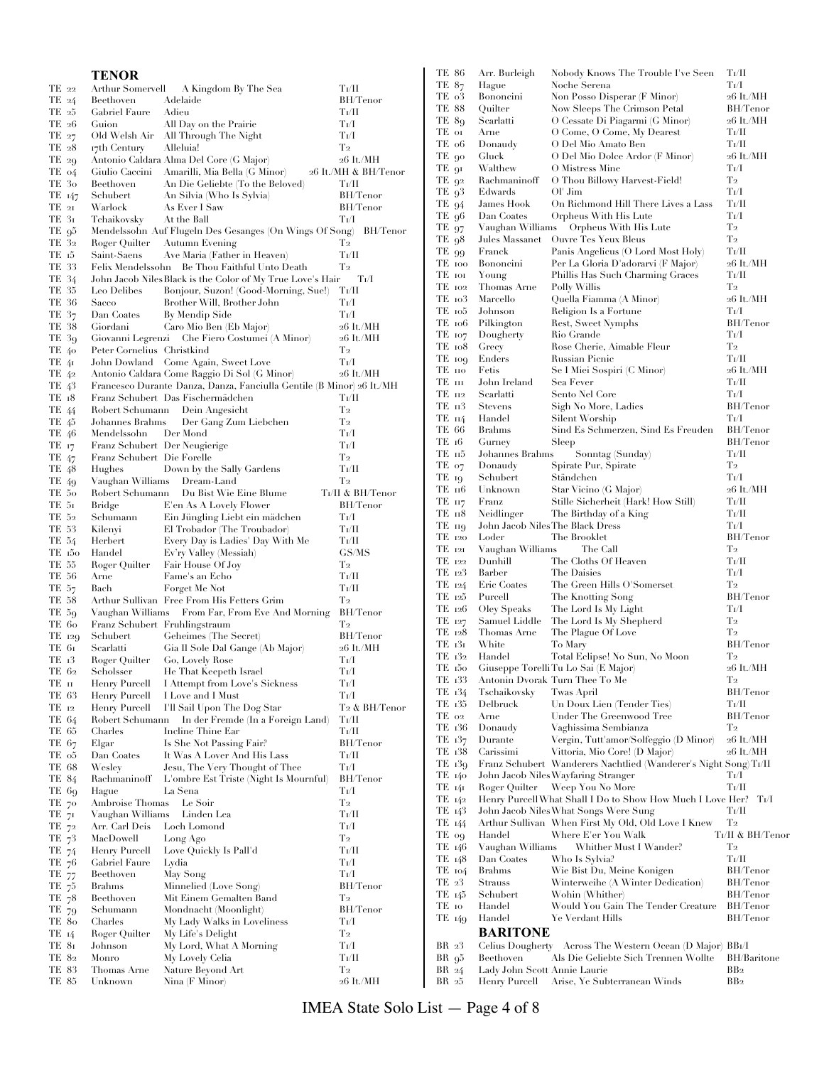### **TENOR**

|                   |                  | I LINUK                                                     |                                                                                                   |                                |
|-------------------|------------------|-------------------------------------------------------------|---------------------------------------------------------------------------------------------------|--------------------------------|
| TE 22             |                  | Arthur Somervell                                            | A Kingdom By The Sea                                                                              | Tı/II                          |
| TE 24             |                  | Beethoven                                                   | Adelaide<br>Adieu                                                                                 | BH/Tenor                       |
| TE 25<br>TE 26    |                  | Gabriel Faure<br>Guion                                      | All Day on the Prairie                                                                            | Tı/II<br>Tı/I                  |
| TE 27             |                  | Old Welsh Air                                               | All Through The Night                                                                             | Tı/I                           |
| TE 28             |                  | 17th Century                                                | Alleluia!                                                                                         | $T_{2}$                        |
| TE 29             |                  |                                                             | Antonio Caldara Alma Del Core (G Major)                                                           | 26 It./MH                      |
| TE 04             |                  | Giulio Caccini                                              | Amarilli, Mia Bella (G Minor)                                                                     | 26 It./MH & BH/Tenor           |
| TE 30             |                  | Beethoven                                                   | An Die Geliebte (To the Beloved)                                                                  | Tı/II                          |
| TE 147            |                  | Schubert                                                    | An Silvia (Who Is Sylvia)                                                                         | <b>BH/Tenor</b>                |
| TE 21             |                  | Warlock                                                     | As Ever I Saw                                                                                     | <b>BH/Tenor</b>                |
| TE 31             |                  | Tchaikovsky                                                 | At the Ball                                                                                       | Tı/I                           |
| TE 95             |                  |                                                             | Mendelssohn Auf Flugeln Des Gesanges (On Wings Of Song)                                           | BH/Tenor                       |
| TE 32             |                  | Roger Quilter                                               | Autumn Evening                                                                                    | T2                             |
| TE 15             |                  | Saint-Saens                                                 | Ave Maria (Father in Heaven)                                                                      | $T_{\rm I}/\rm{II}$            |
| TE 33             |                  |                                                             | Felix Mendelssohn – Be Thou Faithful Unto Death                                                   | $T_{2}$                        |
| TE 34<br>TE 35    |                  | Leo Delibes                                                 | John Jacob NilesBlack is the Color of My True Love's Hair<br>Bonjour, Suzon! (Good-Morning, Sue!) | $T_{\rm I}/I$<br>Tı/II         |
| TE 36             |                  | Sacco                                                       | Brother Will, Brother John                                                                        | $T_{\rm I}/I$                  |
| TE37              |                  | Dan Coates                                                  | By Mendip Side                                                                                    | Tı/I                           |
| TE 38             |                  | Giordani                                                    | Caro Mio Ben (Eb Major)                                                                           | 26 It./MH                      |
| TE 39             |                  |                                                             | Giovanni Legrenzi – Che Fiero Costumei (A Minor)                                                  | 26 It./MH                      |
| TE 40             |                  | Peter Cornelius Christkind                                  |                                                                                                   | $T_{2}$                        |
| TE 41             |                  |                                                             | John Dowland Come Again, Sweet Love                                                               | $T_{\rm I}/I$                  |
| TE 42             |                  |                                                             | Antonio Caldara Come Raggio Di Sol (G Minor)                                                      | 26 It./MH                      |
| TE 43             |                  |                                                             | Francesco Durante Danza, Danza, Fanciulla Gentile (B Minor) 26 It./MH                             |                                |
| TE 18             |                  |                                                             | Franz Schubert Das Fischermädchen                                                                 | Tı/II                          |
| TE 44             |                  | Robert Schumann                                             | Dein Angesicht                                                                                    | T <sub>2</sub>                 |
| TE 45             |                  | Johannes Brahms                                             | Der Gang Zum Liebchen                                                                             | T <sub>2</sub>                 |
| TE 46<br>TE 17    |                  | Mendelssohn                                                 | Der Mond                                                                                          | $T_{\rm I}/I$<br>$T_{\rm I}/I$ |
| TE 47             |                  | Franz Schubert Der Neugierige<br>Franz Schubert Die Forelle |                                                                                                   | $T_{2}$                        |
| TE 48             |                  | Hughes                                                      | Down by the Sally Gardens                                                                         | $T_{\rm I}/\rm{II}$            |
| TE 49             |                  | Vaughan Williams                                            | Dream-Land                                                                                        | T <sub>2</sub>                 |
| TE 50             |                  | Robert Schumann                                             | Du Bist Wie Eine Blume                                                                            | Tı/II & BH/Tenor               |
| TE 51             |                  | Bridge                                                      | E'en As A Lovely Flower                                                                           | BH/Tenor                       |
| TE 52             |                  | Schumann                                                    | Ein Jüngling Liebt ein mädchen                                                                    | Tı/I                           |
| TE 53             |                  | Kilenyi                                                     | El Trobador (The Troubador)                                                                       | Tı/II                          |
| TE 54             |                  | Herbert                                                     | Every Day is Ladies' Day With Me                                                                  | Tı/II                          |
| TE 150            |                  | Handel                                                      | Ev'ry Valley (Messiah)                                                                            | GS/MS                          |
| TE 55             |                  | Roger Quilter                                               | Fair House Of Joy                                                                                 | $T_{2}$                        |
| TE 56             |                  | Arne<br>Bach                                                | Fame's an Echo                                                                                    | $T_{\rm I}/\rm{II}$<br>Tı/II   |
| TE 57<br>TE 58    |                  |                                                             | Forget Me Not<br>Arthur Sullivan Free From His Fetters Grim                                       | T2                             |
| TE 59             |                  |                                                             | Vaughan Williams From Far, From Eve And Morning                                                   | BH/Tenor                       |
| TE 60             |                  | Franz Schubert Fruhlingstraum                               |                                                                                                   | $T_{2}$                        |
| TE 129            |                  | Schubert                                                    | Geheimes (The Secret)                                                                             | BH/Tenor                       |
| TE 61             |                  | Scarlatti                                                   | Gia Il Sole Dal Gange (Ab Major)                                                                  | 26 It./MH                      |
| TE 13             |                  | Roger Quilter                                               | Go, Lovely Rose                                                                                   | $T_{\rm I}/I$                  |
| TE 62             |                  | Scholsser                                                   | He That Keepeth Israel                                                                            | $T_{\rm I}/I$                  |
| TЕп               |                  | Henry Purcell                                               | I Attempt from Love's Sickness                                                                    | $T_{\rm I}/I$                  |
| TE 63             |                  | Henry Purcell                                               | I Love and I Must                                                                                 | $T_{\rm I}/I$                  |
| TE 12             |                  | Henry Purcell                                               | I'll Sail Upon The Dog Star                                                                       | T2 & BH/Tenor<br>Tı/II         |
| TE 64<br>TE 65    |                  | Robert Schumann<br>Charles                                  | In der Fremde (In a Foreign Land)<br>Incline Thine Ear                                            | $T_{\rm I}/\rm{II}$            |
| TE 67             |                  | Elgar                                                       | Is She Not Passing Fair?                                                                          | BH/Tenor                       |
| TE 05             |                  | Dan Coates                                                  | It Was A Lover And His Lass                                                                       | Tı/II                          |
| TE 68             |                  | Wesley                                                      | Jesu, The Very Thought of Thee                                                                    | $T_{\rm I}/I$                  |
| TE 84             |                  | Rachmaninoff                                                | L'ombre Est Triste (Night Is Mournful)                                                            | BH/Tenor                       |
| TE 69             |                  | Hague                                                       | La Sena                                                                                           | $T_{\rm I}/I$                  |
| TE 70             |                  | Ambroise Thomas                                             | Le Soir                                                                                           | $T_{2}$                        |
| TE <sub>71</sub>  |                  | Vaughan Williams                                            | Linden Lea                                                                                        | $T_{\rm I}/\rm{II}$            |
| TE 72             |                  | Arr. Carl Deis                                              | Loch Lomond                                                                                       | $T_{\rm I}/I$                  |
| TE $7^3$          |                  | MacDowell                                                   | Long Ago                                                                                          | $T_{2}$                        |
| TE 74             |                  | Henry Purcell                                               | Love Quickly Is Pall'd                                                                            | $T_{\rm I}/\rm{II}$            |
| TE $7^6$<br>TE 77 |                  | Gabriel Faure<br>Beethoven                                  | Lydia                                                                                             | $T_{\rm I}/I$<br>$T_{\rm I}/I$ |
|                   |                  | Brahms                                                      | May Song<br>Minnelied (Love Song)                                                                 | BH/Tenor                       |
|                   |                  |                                                             |                                                                                                   |                                |
|                   | TE <sub>75</sub> |                                                             |                                                                                                   | T2                             |
| $TE\frac{1}{7}8$  |                  | Beethoven<br>Schumann                                       | Mit Einem Gemalten Band                                                                           | BH/Tenor                       |
| TE 79<br>TE 80    |                  | Charles                                                     | Mondnacht (Moonlight)<br>My Lady Walks in Loveliness                                              | $T_{\rm I}/I$                  |
| TE 14             |                  | Roger Quilter                                               | My Life's Delight                                                                                 | $T_{2}$                        |
| TE 81             |                  | Johnson                                                     | My Lord, What A Morning                                                                           | Tı/I                           |
| TE 82             |                  | Monro                                                       | My Lovely Celia                                                                                   | $T_{\rm I}/\rm{II}$            |
| TE 83<br>TE 85    |                  | Thomas Arne<br>Unknown                                      | Nature Beyond Art<br>Nina (F Minor)                                                               | $T_{2}$<br>26 It./MH           |

| TE 86            |        | Arr. Burleigh                    | Nobody Knows The Trouble I've Seen                                               | Tı/II                       |
|------------------|--------|----------------------------------|----------------------------------------------------------------------------------|-----------------------------|
| TE 87            |        | Hague                            | Noche Serena                                                                     | $T_{I}/I$                   |
| TE 03            |        | Bononcini                        | Non Posso Disperar (F Minor)                                                     | 26 It./MH                   |
| TE 88            |        | Quilter                          | Now Sleeps The Crimson Petal                                                     | BH/Tenor                    |
| TE 89            |        | Scarlatti                        | O Cessate Di Piagarmi (G Minor)                                                  | 26 It./MH                   |
| TE 01<br>TE 06   |        | Arne                             | O Come, O Come, My Dearest                                                       | Tı/II                       |
| TE 90            |        | Donaudy<br>Gluck                 | O Del Mio Amato Ben<br>O Del Mio Dolce Ardor (F Minor)                           | Tı/II<br>26 It./MH          |
| TE 91            |        | Walthew                          | O Mistress Mine                                                                  | $T_{\rm I}/I$               |
| TE 92            |        | Rachmaninoff                     | O Thou Billowy Harvest-Field!                                                    | $T_{2}$                     |
| TE 93            |        | Edwards                          | $Or$ Jim                                                                         | $T_{\rm I}/I$               |
| TE 94            |        | James Hook                       | On Richmond Hill There Lives a Lass                                              | $T_{\rm I}/\rm{II}$         |
| TE 96            |        | Dan Coates                       | Orpheus With His Lute                                                            | $T_{\rm I}/I$               |
| TE 97            |        | Vaughan Williams                 | Orpheus With His Lute                                                            | T2                          |
| TE 98            |        | Jules Massanet                   | Ouvre Tes Yeux Bleus                                                             | T2                          |
| TE 99            |        | Franck                           | Panis Angelicus (O Lord Most Holy)                                               | Tı/II                       |
| TE 100           |        | Bononcini                        | Per La Gloria D'adorarvi (F Major)                                               | 26 It./MH                   |
| ТЕ юю<br>TE 102  |        | Young<br>Thomas Arne             | Phillis Has Such Charming Graces<br>Polly Willis                                 | Tı∕II<br>T2                 |
| TE 103           |        | Marcello                         | Quella Fiamma (A Minor)                                                          | 26 It./MH                   |
| ТЕ 105           |        | Johnson                          | Religion Is a Fortune                                                            | $T_{I}/I$                   |
| TE 106           |        | Pilkington                       | Rest, Sweet Nymphs                                                               | BH/Tenor                    |
| TE 107           |        | Dougherty                        | Rio Grande                                                                       | Tı/I                        |
| TE108            |        | Grecy                            | Rose Cherie, Aimable Fleur                                                       | $T_{2}$                     |
| TE 109           |        | Enders                           | Russian Picnic                                                                   | Tı/II                       |
| ТЕ по            |        | Fetis                            | Se I Miei Sospiri (C Minor)                                                      | 26 It./MH                   |
| TE 111           |        | John Ireland                     | Sea Fever                                                                        | $T_{\rm I}/\rm{II}$         |
| TE 112           |        | Scarlatti                        | Sento Nel Core                                                                   | $T_{I}/I$                   |
| TE 113           |        | <b>Stevens</b>                   | Sigh No More, Ladies                                                             | BH/Tenor                    |
| TE 114<br>TE 66  |        | Handel                           | Silent Worship                                                                   | $T_{\rm I}/I$<br>BH/Tenor   |
| TE 16            |        | Brahms<br>Gurney                 | Sind Es Schmerzen, Sind Es Freuden<br>Sleep                                      | BH/Tenor                    |
| ТЕ п5            |        | Johannes Brahms                  | Sonntag (Sunday)                                                                 | Tı/II                       |
| TE 07            |        | Donaudy                          | Spirate Pur, Spirate                                                             | T2                          |
| TE 19            |        | Schubert                         | Ständchen                                                                        | Tı/I                        |
| TE 116           |        | Unknown                          | Star Vicino (G Major)                                                            | 26 It./MH                   |
| TE 117           |        | Franz                            | Stille Sicherheit (Hark! How Still)                                              | Tı/II                       |
| TE 118           |        | Neidlinger                       | The Birthday of a King                                                           | Tı/II                       |
| TE 119           |        | John Jacob Niles The Black Dress |                                                                                  | $T_{I}/I$                   |
| TE 120<br>TE 121 |        | Loder<br>Vaughan Williams        | The Brooklet<br>The Call                                                         | <b>BH/Tenor</b><br>T2       |
| TE 122           |        | Dunhill                          | The Cloths Of Heaven                                                             | Tı/II                       |
| TE 123           |        | Barber                           | The Daisies                                                                      | $T_{I}/I$                   |
| TE 124           |        | Eric Coates                      | The Green Hills O'Somerset                                                       | T2                          |
| TE 125           |        | Purcell                          | The Knotting Song                                                                | BH/Tenor                    |
| TE 126           |        | Oley Speaks                      | The Lord Is My Light                                                             | $T_{\rm I}/I$               |
| TE 127           |        | Samuel Liddle                    | The Lord Is My Shepherd                                                          | T <sub>2</sub>              |
| TE 128           |        | Thomas Arne                      | The Plague Of Love                                                               | T2                          |
| TE 131           |        | White                            | To Mary                                                                          | BH/Tenor                    |
| TE 132           |        | Handel                           | Total Eclipse! No Sun, No Moon                                                   | T2                          |
| TE 133           | TE 150 |                                  | Giuseppe TorelliTu Lo Sai (E Major)<br>Antonin Dvorak Turn Thee To Me            | 26 It./MH<br>T2             |
| TE 134           |        | Tschaikovsky                     | Twas April                                                                       | BH/Tenor                    |
| TE 135           |        | Delbruck                         | Un Doux Lien (Tender Ties)                                                       | Tı/II                       |
| TE 02            |        | Arne                             | Under The Greenwood Tree                                                         | BH/Tenor                    |
| TE 136           |        | Donaudy                          | Vaghissima Sembianza                                                             | T2                          |
| TE 137           |        | Durante                          | Vergin, Tutt'amor/Solfeggio (D Minor)                                            | 26 It./MH                   |
| TE 138           |        | Carissimi                        | Vittoria, Mio Core! (D Major)                                                    | 26 It./MH                   |
| TE 139           |        |                                  | Franz Schubert Wanderers Nachtlied (Wanderer's Night Song)T1/II                  |                             |
| TE 140           |        |                                  | John Jacob NilesWayfaring Stranger                                               | Тı/І                        |
| TE 141<br>TE 142 |        | Roger Quilter                    | Weep You No More<br>Henry PurcellWhat Shall I Do to Show How Much I Love Her?    | Tı/II<br>Tī/I               |
| TE 143           |        |                                  | John Jacob Niles What Songs Were Sung                                            | Tı/II                       |
| TE 144           |        |                                  | Arthur Sullivan   When First My Old, Old Love I Knew                             | $\mathbf{T} \mathbf{2}$     |
| TE 09            |        | Handel                           | Where E'er You Walk                                                              | Tı/II & BH/Tenor            |
| TE 146           |        | Vaughan Williams                 | Whither Must I Wander?                                                           | T2                          |
| TE 148           |        | Dan Coates                       | Who Is Sylvia?                                                                   | $T_{\rm I}/\rm{II}$         |
| TE 104           |        | Brahms                           | Wie Bist Du, Meine Konigen                                                       | BH/Tenor                    |
| TE 23            |        | Strauss                          | Winterweihe (A Winter Dedication)                                                | BH/Tenor                    |
| TE 145           |        | Schubert                         | Wohin (Whither)                                                                  | BH/Tenor                    |
| ТЕ 10<br>TE 149  |        | Handel<br>Handel                 | Would You Gain The Tender Creature<br>Ye Verdant Hills                           | BH/Tenor<br><b>BH/Tenor</b> |
|                  |        |                                  |                                                                                  |                             |
|                  |        | BARITONE                         |                                                                                  |                             |
| BR 23<br>BR 95   |        | Celius Dougherty<br>Beethoven    | Across The Western Ocean (D Major) BB1/I<br>Als Die Geliebte Sich Trennen Wollte | <b>BH/Baritone</b>          |
| BR 24            |        | Lady John Scott Annie Laurie     |                                                                                  | BB2                         |
|                  |        |                                  |                                                                                  |                             |

BR 25 Henry Purcell Arise, Ye Subterranean Winds BB2

IMEA State Solo List — Page 4 of 8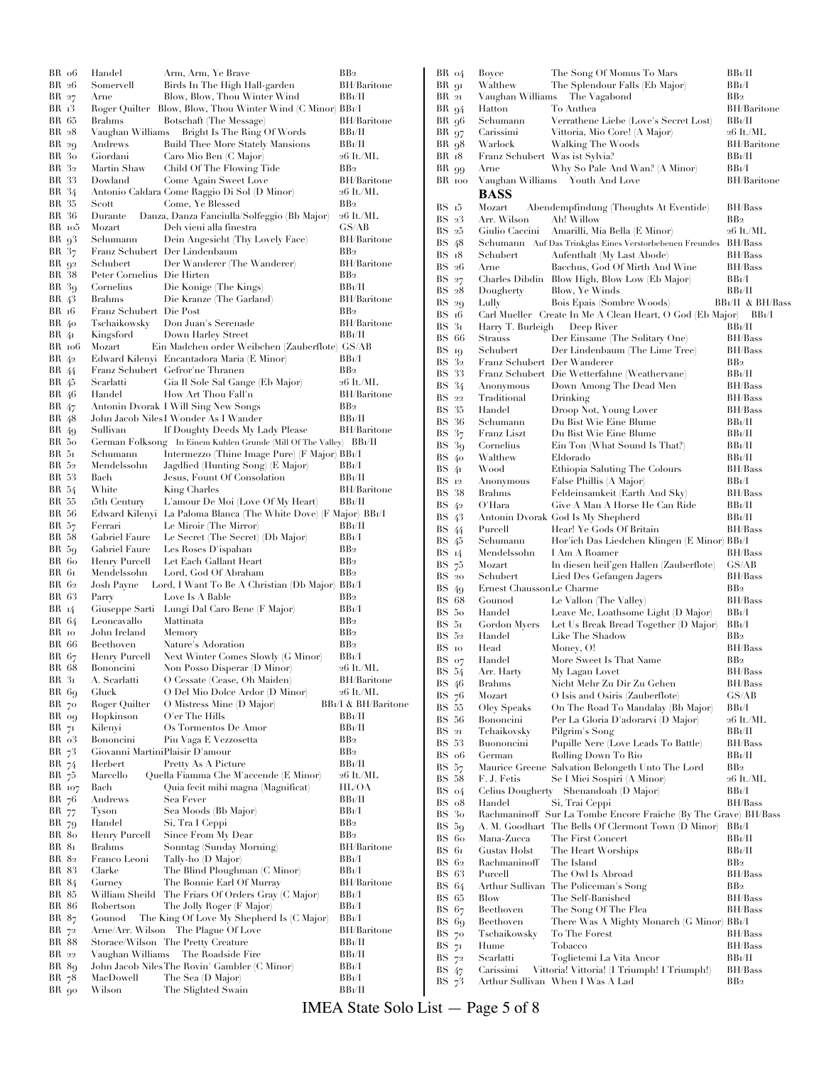| BR 06          |        | Handel                          | Arm, Arm, Ye Brave                                                 | BB2                             |
|----------------|--------|---------------------------------|--------------------------------------------------------------------|---------------------------------|
| BR 26          |        | Somervell                       | Birds In The High Hall-garden                                      | <b>BH/Baritone</b>              |
| BR 27          |        | Arne                            | Blow, Blow, Thou Winter Wind                                       | BB1/11                          |
| BR 13          |        |                                 | Roger Quilter Blow, Blow, Thou Winter Wind (C Minor) BB1/I         |                                 |
| BR 65          |        | Brahms                          | Botschaft (The Message)                                            | <b>BH/Baritone</b>              |
| BR 28          |        | Vaughan Williams                | Bright Is The Ring Of Words                                        | BB1/11                          |
| BR 29          |        | Andrews                         | <b>Build Thee More Stately Mansions</b>                            | BBI/II                          |
| BR 30          |        | Giordani                        | Caro Mio Ben (C Major)                                             | 26 It./ML                       |
| BR 32          |        | Martin Shaw                     | Child Of The Flowing Tide                                          | BB <sub>2</sub>                 |
| BR 33          |        | Dowland                         | Come Again Sweet Love                                              | <b>BH/Baritone</b>              |
| BR 34          |        |                                 | Antonio Caldara Come Raggio Di Sol (D Minor)                       | 26 It./ML                       |
| BR 35          |        | Scott                           | Come, Ye Blessed                                                   | BB2                             |
| BR 36          |        | Durante                         | Danza, Danza Fanciulla/Solfeggio (Bb Major)                        | 26 It./ML                       |
|                | BR 105 | Mozart                          | Deh vieni alla finestra                                            | GS/AB                           |
|                |        | Schumann                        |                                                                    | <b>BH/Baritone</b>              |
| BR 93          |        |                                 | Dein Angesicht (Thy Lovely Face)                                   | BB2                             |
| BR 37          |        |                                 | Franz Schubert Der Lindenbaum                                      |                                 |
| BR 92          |        | Schubert                        | Der Wanderer (The Wanderer)                                        | <b>BH/Baritone</b>              |
| BR 38          |        | Peter Cornelius Die Hirten      |                                                                    | BB <sub>2</sub>                 |
| BR 39          |        | Cornelius                       | Die Konige (The Kings)                                             | BB1/II                          |
| BR 43          |        | Brahms                          | Die Kranze (The Garland)                                           | <b>BH/Baritone</b>              |
| BR 16          |        | Franz Schubert - Die Post       |                                                                    | BB2                             |
| BR 40          |        | Tschaikowsky                    | Don Juan's Serenade                                                | <b>BH/Baritone</b>              |
| BR 41          |        | Kingsford                       | Down Harley Street                                                 | BBI/II                          |
|                | BR 106 | Mozart                          | Ein Madchen order Weibchen (Zauberflote) GS/AB                     |                                 |
| BR 42          |        |                                 | Edward Kilenyi - Encantadora Maria (E Minor)                       | BB1/I                           |
| BR 44          |        |                                 | Franz Schubert - Gefror'ne Thranen                                 | BB2                             |
| BR 45          |        | Scarlatti                       | Gia Il Sole Sal Gange (Eb Major)                                   | 26 It./ML                       |
| BR 46          |        | Handel                          | How Art Thou Fall'n                                                | <b>BH/Baritone</b>              |
| BR 47          |        |                                 | Antonin Dvorak I Will Sing New Songs                               | BB2                             |
| BR 48          |        |                                 | John Jacob Niles I Wonder As I Wander                              | BB1/II                          |
| BR 49          |        | Sullivan                        | If Doughty Deeds My Lady Please                                    | <b>BH/Baritone</b>              |
| BR 50          |        |                                 | German Folksong In Einem Kuhlen Grunde (Mill Of The Valley) BB1/II |                                 |
| BR 51          |        | Schumann                        | Intermezzo (Thine Image Pure) (F Major) BB1/I                      |                                 |
| BR 52          |        | Mendelssohn                     | Jagdlied (Hunting Song) (E Major)                                  | BB1/1                           |
| BR 53          |        | Bach                            | Jesus, Fount Of Consolation                                        | BB1/II                          |
| BR 54          |        | White                           | King Charles                                                       | <b>BH/Baritone</b>              |
| BR 55          |        | 15th Century                    | L'amour De Moi (Love Of My Heart)                                  | BB1/II                          |
| BR 56          |        |                                 | Edward Kilenyi   La Paloma Blanca (The White Dove) (F Major) BB1/I |                                 |
| BR 57          |        | Ferrari                         | Le Miroir (The Mirror)                                             | BB1/II                          |
| BR 58          |        | Gabriel Faure                   | Le Secret (The Secret) (Db Major)                                  | BB1/I                           |
| BR 59          |        | Gabriel Faure                   | Les Roses D'ispahan                                                | BB2                             |
| BR 60          |        | Henry Purcell                   | Let Each Gallant Heart                                             | BB2                             |
| BR 61          |        | Mendelssohn                     | Lord, God Of Abraham                                               | BB2                             |
| BR 62          |        | Josh Payne                      | Lord, I Want To Be A Christian (Db Major) BB1/I                    |                                 |
| BR 63          |        | Parry                           | Love Is A Bable                                                    | BB2                             |
| BR 14          |        | Giuseppe Sarti                  | Lungi Dal Caro Bene (F Major)                                      | BB1/I                           |
| BR 64          |        | Leoncavallo                     | Mattinata                                                          | BB <sub>2</sub>                 |
| ВК 10          |        | John Ireland                    | Memory                                                             | BB <sub>2</sub>                 |
| BR 66          |        | Beethoven                       | Nature's Adoration                                                 | BB2                             |
|                |        | Henry Purcell                   | Next Winter Comes Slowly (G Minor)                                 | BBL                             |
| BR 67<br>BR 68 |        |                                 | Non Posso Disperar (D Minor)                                       |                                 |
|                |        | Bononcini                       |                                                                    | 26 It./ML<br><b>BH/Baritone</b> |
| BR 31          |        | A. Scarlatti                    | O Cessate (Cease, Oh Maiden)                                       |                                 |
| BR 69          |        | Gluck                           | O Del Mio Dolce Ardor (D Minor)                                    | 26 It./ML                       |
| BR 70          |        | Roger Quilter                   | O Mistress Mine (D Major)                                          | BB1/I & BH/Baritone             |
| BR og          |        | Hopkinson                       | O'er The Hills                                                     | BB1/II                          |
| BR 71          |        | Kilenyi                         | Os Tormentos De Amor                                               | BBI/II                          |
| BR 03          |        | Bononcini                       | Piu Vaga E Vezzosetta                                              | BB <sub>2</sub>                 |
| BR 73          |        | Giovanni MartiniPlaisir D'amour |                                                                    | BB2                             |
| BR 74          |        | Herbert                         | Pretty As A Picture                                                | BB1/II                          |
| BR 75          |        | Marcello                        | Quella Fiamma Che M'accende (E Minor)                              | 26 It./ML                       |
|                | BR 107 | Bach                            | Quia fecit mihi magna (Magnificat)                                 | HL/OA                           |
| BR 76          |        | Andrews                         | Sea Fever                                                          | BB1/II                          |
| BR 77          |        | Tyson                           | Sea Moods (Bb Major)                                               | BB1/1                           |
| BR 79          |        | Handel                          | Si, Tra I Ceppi                                                    | BB2                             |
| BR 80          |        | Henry Purcell                   | Since From My Dear                                                 | BB2                             |
| BR 81          |        | Brahms                          | Sonntag (Sunday Morning)                                           | <b>BH/Baritone</b>              |
| BR 82          |        | Franco Leoni                    | Tally-ho (D Major)                                                 | BBI/1                           |
| BR 83          |        | Clarke                          | The Blind Ploughman (C Minor)                                      | BB1/1                           |
| BR 84          |        | Gurney                          | The Bonnie Earl Of Murray                                          | <b>BH/Baritone</b>              |
| BR 85          |        | William Sheild                  | The Friars Of Orders Gray (C Major)                                | BB1/1                           |
| BR 86          |        | Robertson                       | The Jolly Roger (F Major)                                          | BB1/1                           |
| BR 87          |        | Gounod                          | The King Of Love My Shepherd Is (C Major)                          | BB1/1                           |
| BR 72          |        | Arne/Arr. Wilson                | The Plague Of Love                                                 | BH/Baritone                     |
| BR 88          |        |                                 | Storace/Wilson The Pretty Creature                                 | BB1/II                          |
| BR 22          |        | Vaughan Williams                | The Roadside Fire                                                  | BBI/II                          |
| BR 89          |        |                                 | John Jacob NilesThe Rovin' Gambler (C Minor)                       | BB1/I                           |
|                |        |                                 |                                                                    |                                 |
| BR 78<br>BR 90 |        | MacDowell<br>Wilson             | The Sea (D Major)<br>The Slighted Swain                            | BB1/I<br>BB1/II                 |

| BR 04            | Boyce                          | The Song Of Momus To Mars                                       | BB1/11                               |
|------------------|--------------------------------|-----------------------------------------------------------------|--------------------------------------|
| BR 91            | Walthew                        | The Splendour Falls (Eb Major)                                  | BB1/I                                |
| BR 21            | Vaughan Williams               | The Vagabond                                                    | BB2                                  |
| BR 94            | Hatton                         | To Anthea                                                       | BH/Baritone                          |
| BR 96            | Schumann                       | Verrathene Liebe (Love's Secret Lost)                           | BB1/II                               |
| BR 97            | Carissimi                      | Vittoria, Mio Core! (A Major)                                   | 26 It./ML                            |
| BR 98            | Warlock                        | Walking The Woods                                               | BH/Baritone                          |
|                  | Franz Schubert Was ist Sylvia? |                                                                 | BB1/II                               |
| BR 18            |                                |                                                                 |                                      |
| BR 99            | Arne                           | Why So Pale And Wan? (A Minor)                                  | BB1/I                                |
| BR 100           | Vaughan Williams               | Youth And Love                                                  | BH/Baritone                          |
|                  | BASS                           |                                                                 |                                      |
| BS 15            | Mozart                         | Abendempfindung (Thoughts At Eventide)                          | <b>BH/Bass</b>                       |
| BS 23            | Arr. Wilson                    | Ah! Willow                                                      | BB2                                  |
| BS <sub>25</sub> | Giulio Caccini                 | Amarilli, Mia Bella (E Minor)                                   | 26 It./ML                            |
| BS 48            |                                | Schumann Auf Das Trinkglas Eines Verstorbebenen Freundes        | <b>BH/Bass</b>                       |
|                  |                                |                                                                 |                                      |
| BS 18            | Schubert                       | Aufenthalt (My Last Abode)                                      | <b>BH/Bass</b>                       |
| BS <sub>26</sub> | Arne                           | Bacchus, God Of Mirth And Wine                                  | <b>BH/Bass</b>                       |
| $BS_{27}$        | Charles Dibdin                 | Blow High, Blow Low (Eb Major)                                  | BB1/1                                |
| BS 28            | Dougherty                      | Blow, Ye Winds                                                  | BB1/II                               |
| BS 29            | Lully                          | Bois Epais (Sombre Woods)                                       | <b>BB</b> <sub>I</sub> /II & BH/Bass |
| $BS_16$          |                                | Carl Mueller Create In Me A Clean Heart, O God (Eb Major)       | BB1/I                                |
| BS 31            | Harry T. Burleigh              | Deep River                                                      | BB1/II                               |
| BS 66            | Strauss                        | Der Einsame (The Solitary One)                                  | <b>BH/Bass</b>                       |
| $BS_{19}$        | Schubert                       | Der Lindenbaum (The Lime Tree)                                  | <b>BH/Bass</b>                       |
| BS 32            | Franz Schubert Der Wanderer    |                                                                 | BB <sub>2</sub>                      |
| BS 33            |                                |                                                                 |                                      |
|                  |                                | Franz Schubert Die Wetterfahne (Weathervane)                    | BB1/II                               |
| BS 34            | Anonymous                      | Down Among The Dead Men                                         | <b>BH/Bass</b>                       |
| BS 22            | Traditional                    | Drinking                                                        | <b>BH/Bass</b>                       |
| BS 35            | Handel                         | Droop Not, Young Lover                                          | <b>BH/Bass</b>                       |
| BS 36            | Schumann                       | Du Bist Wie Eine Blume                                          | BB1/II                               |
| BS 37            | Franz Liszt                    | Du Bist Wie Eine Blume                                          | BB1/II                               |
| BS 39            | Cornelius                      | Ein Ton (What Sound Is That?)                                   | BB1/II                               |
| BS 40            | Walthew                        | Eldorado                                                        | BB1/II                               |
| BS 41            | Wood                           | Ethiopia Saluting The Colours                                   | <b>BH/Bass</b>                       |
| BS <sub>12</sub> | Anonymous                      | False Phillis (A Major)                                         | BB1/I                                |
| <b>BS</b> 38     | Brahms                         | Feldeinsamkeit (Earth And Sky)                                  | <b>BH/Bass</b>                       |
|                  |                                |                                                                 |                                      |
| BS 42            | O'Hara                         | Give A Man A Horse He Can Ride                                  | BB1/11                               |
| BS 43            |                                | Antonin Dvorak God Is My Shepherd                               | BB1/II                               |
| BS 44            | Purcell                        | Hear! Ye Gods Of Britain                                        | <b>BH/Bass</b>                       |
| BS 45            | Schumann                       | Hor'ich Das Liedchen Klingen (E Minor) BB1/I                    |                                      |
| BS 14            | Mendelssohn                    | 1 Am A Roamer                                                   | <b>BH/Bass</b>                       |
| $BS_{75}$        | Mozart                         | In diesen heil'gen Hallen (Zauberflote)                         | GS/AB                                |
| BS <sub>20</sub> | Schubert                       | Lied Des Gefangen Jagers                                        | <b>BH/Bass</b>                       |
| BS 49            | Ernest ChaussonLe Charme       |                                                                 | BB2                                  |
| <b>BS</b> 68     | Gounod                         | Le Vallon (The Valley)                                          | <b>BH/Bass</b>                       |
| BS 50            | Handel                         | Leave Me, Loathsome Light (D Major)                             | BB1/I                                |
|                  |                                |                                                                 |                                      |
| $BS_5i$          | Gordon Myers                   | Let Us Break Bread Together (D Major)                           | BB1/I                                |
| BS 52            | Handel                         | Like The Shadow                                                 | BB2                                  |
| $BS$ 10          | Head                           | Money, O!                                                       | <b>BH/Bass</b>                       |
| BS 07            | Handel                         | More Sweet Is That Name                                         | BB2                                  |
| BS 54            | Arr. Harty                     | My Lagan Lovet                                                  | <b>BH/Bass</b>                       |
| BS 46            | Brahms                         | Nicht Mehr Zu Dir Zu Gehen                                      | <b>BH/Bass</b>                       |
| BS 76            | Mozart                         | O Isis and Osiris (Zauberflote)                                 | GS/AB                                |
| <b>BS</b> 55     | Oley Speaks                    | On The Road To Mandalay (Bb Major)                              | BB1/I                                |
| BS 56            | Bononcini                      | Per La Gloria D'adorarvi (D Major)                              | 26 It./ML                            |
| $BS_{2I}$        | Tchaikovsky                    | Pilgrim's Song                                                  | BB1/II                               |
| BS 53            | Buononcini                     | Pupille Nere (Love Leads To Battle)                             | <b>BH/Bass</b>                       |
| BS 06            | German                         | Rolling Down To Rio                                             | BB1/II                               |
|                  |                                |                                                                 |                                      |
| BS 57            |                                | Maurice Greene-Salvation Belongeth Unto The Lord                | BB2                                  |
| BS 58            | F. J. Fetis                    | Se I Miei Sospiri (A Minor)                                     | 26 It./ML                            |
| BS 04            | Celius Dougherty               | Shenandoah (D Major)                                            | BB1/I                                |
| BS 08            | Handel                         | Si, Trai Ceppi                                                  | <b>BH/Bass</b>                       |
| BS 30            |                                | Rachmaninoff Sur La Tombe Encore Fraiche (By The Grave) BH/Bass |                                      |
| BS 59            |                                | A. M. Goodhart The Bells Of Clermont Town (D Minor)             | BB1/I                                |
| BS 60            | Mana-Zucca                     | The First Concert                                               | BB1/II                               |
| BS 61            | <b>Gustav Holst</b>            | The Heart Worships                                              | BB1/II                               |
| BS 62            | Rachmaninoff                   | The Island                                                      | BB2                                  |
| BS 63            |                                | The Owl Is Abroad                                               |                                      |
|                  | Purcell                        |                                                                 | <b>BH/Bass</b>                       |
| BS 64            |                                | Arthur Sullivan  The Policeman's Song                           | BB2                                  |
| BS 65            | Blow                           | The Self-Banished                                               | <b>BH/Bass</b>                       |
| BS 67            | Beethoven                      | The Song Of The Flea                                            | <b>BH/Bass</b>                       |
| BS 69            | Beethoven                      | There Was A Mighty Monarch (G Minor) BB1/I                      |                                      |
| $BS$ 70          | Tschaikowsky                   | To The Forest                                                   | <b>BH/Bass</b>                       |
| $BS_{71}$        | Hume                           | Tobacco                                                         | <b>BH/Bass</b>                       |
| $BS_{72}$        | Scarlatti                      | Toglietemi La Vita Ancor                                        | BB1/II                               |
| ВS<br>47         | Carissimi                      | Vittoria! Vittoria! (I Triumph! I Triumph!)                     | <b>BH/Bass</b>                       |
| $BS_{73}$        |                                | Arthur Sullivan   When I Was A Lad                              | BB2                                  |
|                  |                                |                                                                 |                                      |

IMEA State Solo List — Page 5 of 8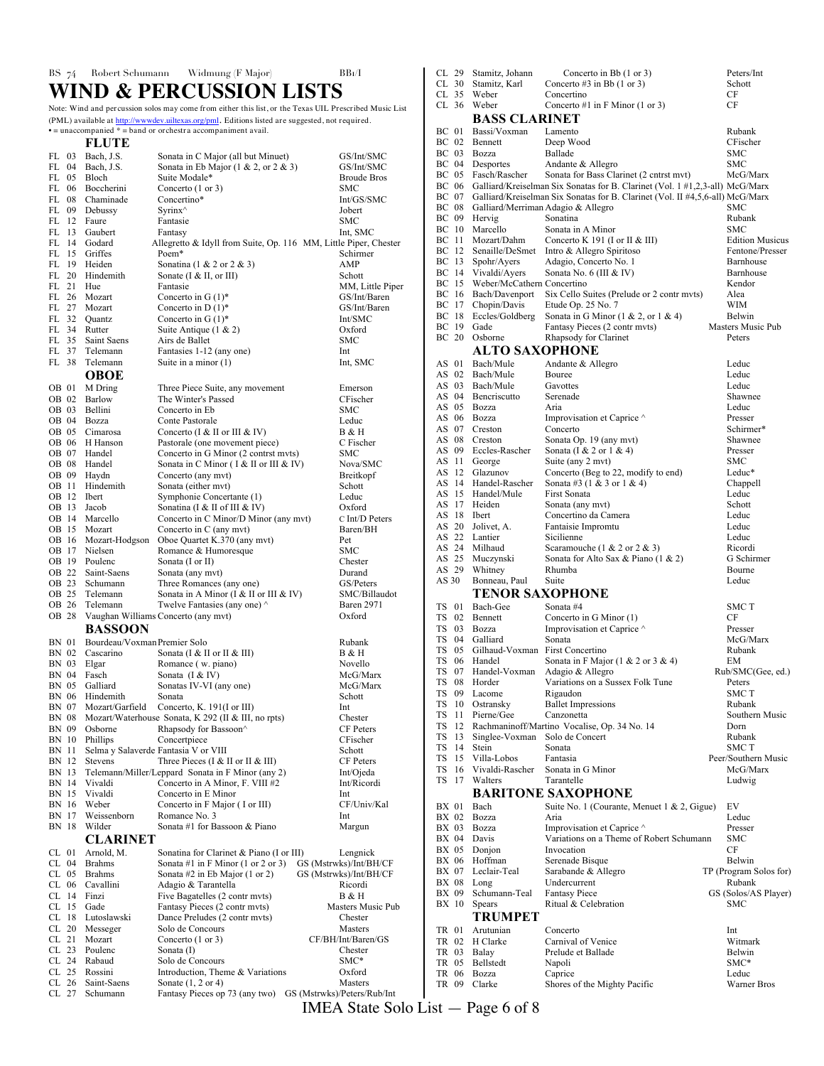### BS 74 Robert Schumann Widmung (F Major) BB1/I

## **WIND & PERCUSSION LISTS**

Note: Wind and percussion solos may come from either this list, or the Texas UIL Prescribed Music List (PML) available at http://wwwdev.uiltexas.org/pml. Editions listed are suggested, not required.  $\bullet$  = unaccompanied  $\overline{\ast}$  = band or orchestra accompaniment avail.

#### **FLUTE**<br>Bach, J.S. FL 03 Bach, J.S. Sonata in C Major (all but Minuet) GS/Int/SMC FL 04 Bach, J.S. Sonata in Eb Major (1 & 2, or 2 & 3) GS/Int/SMC<br>FL 05 Bloch Suite Modale\* Broude Bros FL 05 Bloch Suite Modale\* Brouder Brouder Brouder Brouder Brouder Brouder Brouder Brouder Brouder Brouder Brouder Brouder Brouder Brouder Brouder Brouder Brouder Brouder Brouder Brouder Brouder Brouder Brouder Brouder Brou FL 06 Boccherini Concerto (1 or 3)<br>FL 08 Chaminade Concertino\* FL 08 Chaminade Concertino\* Int/GS/SMC FL 09 Debussy Syrinx<sup>^</sup> Jobert John Jobert EL 12 Faure Fantasie SMC FL 12 Faure Fantasie SMC FL 13 Gaubert Fantasy Int, SMC FL 14 Godard Allegretto & Idyll from Suite, Op. 116 MM, Little Piper, Chester FL 15 Griffes Poem\* Schirmer FL 19 Heiden Sonatina  $(1 & 2 \text{ or } 2 & 3)$  AMP<br>FL 20 Hindemith Sonate  $(1 & 2 \text{ or } 10)$  Schot Sonate (I & II, or III) Schott FL 21 Hue Fantasie Fantasie MM, Little Piper FL 26 Mozart Concerto in G (1)\* GS/Int/Baren<br>FL 27 Mozart Concerto in D (1)\* GS/Int/Baren Concerto in D $(1)^*$ FL 32 Quantz Concerto in G (1)\* Int/SMC FL 34 Rutter Suite Antique (1 & 2) Oxford<br>FL 35 Saint Saens Airs de Ballet SMC FL 35 Saint Saens Airs de Ballet<br>FL 37 Telemann Fantasies 1-12 Fantasies 1-12 (any one) Int<br>Suite in a minor (1) Int, SMC FL 38 Telemann Suite in a minor (1) **OBOE** OB 01 M Dring Three Piece Suite, any movement Emerson OB 02 Barlow The Winter's Passed CFischer OB 03 Bellini Concerto in Eb SMC OB 04 Bozza Conte Pastorale Leduc OB 05 Cimarosa Concerto (I & II or III & IV) B & H OB 06 H Hanson Pastorale (one movement piece) C Fischer OB 07 Handel Concerto in G Minor (2 contrst mvts) SMC<br>
OB 08 Handel Sonata in C Minor (I & II or III & IV) Nova/SMC Sonata in C Minor ( I & II or III & IV) OB 09 Haydn Concerto (any mvt) Breitkopf<br>
OB 11 Hindemith Sonata (either mvt) Schott Schott OB 11 Hindemith Sonata (either mvt) Schott<br>
OB 12 Ibert Symphonie Concertante (1) Leduc OB 12 Ibert Symphonie Concertante (1) Leduc<br>
OB 13 Jacob Sonatina (I & II of III & IV) Oxford OB 13 Jacob Sonatina (I & II of III & IV) Oxford<br>
OB 14 Marcello Concerto in C Minor/D Minor (any mvt) C Int/D Peters OB 14 Marcello Concerto in C Minor (D Minor (any mvt) C Int/D Peters OB 15 Mozart Concerto in C (any mvt) Baren/BH OB 15 Mozart Concerto in C (any mvt) Bar<br>OB 16 Mozart-Hodgson Oboe Quartet K.370 (any mvt) Pet OB 16 Mozart-Hodgson Oboe Quartet K.370 (any mvt) Pet OB 17 Nielsen Romance & Humoresque SMC Romance & Humoresque SMC<br>Sonata (I or II) Chester OB 19 Poulenc Sonata (I or II) OB 22 Saint-Saens Sonata (any mvt) Durand Durand OB 23 Schumann Three Romances (any one) GS/Peters Three Romances (any one) GS/Peters<br>
Sonata in A Minor (I & II or III & IV) SMC/Billaudot OB 25 Telemann Sonata in A Minor (I & II or III & IV) SMC/Billau OB 26 Telemann Twelve Fantasies (any one) ^ Baren 2971 OB 26 Telemann Twelve Fantasies (any one)  $\wedge$ OB 28 Vaughan Williams Concerto (any mvt) Oxford **BASSOON** BN 01 Bourdeau/Voxman Premier Solo Rubank<br>BN 02 Cascarino Sonata (I & II or II & III) B & H BN 02 Cascarino Sonata (I & II or II & III) B & H<br>BN 03 Elgar Romance (w. piano) Novello Romance ( w. piano) Novello<br>
Sonata ( I & IV) NeG/Marx BN 04 Fasch Sonata (I & IV) McG/Marx<br>BN 05 Galliard Sonatas IV-VI (any one) McG/Marx BN 05 Galliard Sonatas IV-VI (any one) McG/M<br>BN 06 Hindemith Sonata Schott Hindemith Sonata Schotter Schotter Schotter Schotter Schotter Schotter Schotter Schotter Schotter Schotter Schotter Schotter Schotter Schotter Schotter Schotter Schotter Schotter Schotter Schotter Schotter Schotter Schotte BN 07 Mozart/Garfield Concerto, K. 191(I or III) Int<br>BN 08 Mozart/Waterhouse Sonata, K 292 (II & III, no rpts) Chester BN 08 Mozart/Waterhouse Sonata, K 292 (II & III, no rpts) Chester<br>BN 09 Osborne Rhapsody for Bassoon<sup> $\land$ </sup> CF Peters BN 09 Osborne Rhapsody for Bassoon^ CF Peters<br>BN 10 Phillips Concertpiece CF Peters Concertpiece BN 11 Selma y Salaverde Fantasia V or VIII<br>BN 12 Stevens Three Pieces (I & II or II & III) CF Peters BN 12 Stevens Three Pieces (I & II or II & III) CF Peters<br>BN 13 Telemann/Miller/Leppard Sonata in F Minor (any 2) Int/Ojeda BN 13 Telemann/Miller/Leppard Sonata in F Minor (any 2) Int/Ojeda<br>BN 14 Vivaldi Concerto in A Minor F VIII #2 Int/Ricordi Concerto in A Minor, F. VIII #2 BN 15 Vivaldi Concerto in E Minor<br>
RN 16 Weber Concerto in E Major (Lor III) CE/LIniv/Kal Concerto in F Major ( I or III) BN 17 Weissenborn Romance No. 3 Int<br>BN 18 Wilder Sonata #1 for Bassoon & Piano Margun Sonata #1 for Bassoon  $&$  Piano **CLARINET**<br>Arnold, M. CL 01 Arnold, M. Sonatina for Clarinet & Piano (I or III) Lengnick<br>CL 04 Brahms Sonata #1 in F Minor (1 or 2 or 3) GS (Mstrwks)/Int/BF CL 04 Brahms Sonata #1 in F Minor (1 or 2 or 3)  $\frac{GS}{S}$  (Mstrwks)/Int/BH/CF<br>CL 05 Brahms Sonata #2 in Eb Major (1 or 2)  $\frac{GS}{S}$  (Mstrwks)/Int/BH/CF CL 05 Brahms Sonata #2 in Eb Major (1 or 2) GS (Mstrwks)/Int/<br>CL 06 Cavallini Adagio & Tarantella Ricordi Adagio & Tarantella CL 14 Finzi Five Bagatelles (2 contr myts) B & H<br>CL 15 Gade Fantasy Pieces (2 contr myts) Masters Music Pub CL 15 Gade Fantasy Pieces (2 contr mvts) Masters Music Published CL 18 Lutoslawski Dance Preludes (2 contr mvts) Chester Dance Preludes (2 contr mvts) CL 20 Messeger Solo de Concours Masters Masters Masters<br>CL 21 Mozart Concerto (1 or 3) CF/BH/Int/Bare Concerto (1 or 3) CF/BH/Int/Baren/GS CL 23 Poulenc Sonata (I) Sonata (I) Chester<br>CL 24 Rabaud Solo de Concours SMC\* Solo de Concours SMC<sup>\*</sup> CL 25 Rossini Introduction, Theme & Variations Oxford CL 26 Saint-Saens Sonate (1, 2 or 4) Masters CL 27 Schumann Fantasy Pieces op 73 (any two) GS (Mstrwks)/Peters/Rub/Int

| CL 29          |          | Stamitz, Johann                              | Concerto in Bb $(1 \text{ or } 3)$                                                | Peters/Int                       |
|----------------|----------|----------------------------------------------|-----------------------------------------------------------------------------------|----------------------------------|
| CL 30<br>CL 35 |          | Stamitz, Karl<br>Weber                       | Concerto $#3$ in Bb (1 or 3)<br>Concertino                                        | Schott<br>CF                     |
| CL 36          |          | Weber                                        | Concerto #1 in F Minor $(1 \text{ or } 3)$                                        | CF                               |
|                |          | <b>BASS CLARINET</b>                         |                                                                                   |                                  |
| BC 01          |          | Bassi/Voxman                                 | Lamento                                                                           | Rubank                           |
| BC 02          |          | Bennett                                      | Deep Wood                                                                         | CFischer                         |
| BC 03<br>BC 04 |          | Bozza                                        | Ballade                                                                           | SMC                              |
| BC 05          |          | Desportes<br>Fasch/Rascher                   | Andante & Allegro<br>Sonata for Bass Clarinet (2 cntrst mvt)                      | SMC<br>McG/Marx                  |
| BC 06          |          |                                              | Galliard/Kreiselman Six Sonatas for B. Clarinet (Vol. 1 #1,2,3-all) McG/Marx      |                                  |
| BC 07          |          |                                              | Galliard/Kreiselman Six Sonatas for B. Clarinet (Vol. II #4,5,6-all) McG/Marx     |                                  |
| BC 08<br>BC 09 |          | Galliard/Merriman Adagio & Allegro<br>Hervig | Sonatina                                                                          | SMC<br>Rubank                    |
| BC 10          |          | Marcello                                     | Sonata in A Minor                                                                 | SMC                              |
| BC 11          |          | Mozart/Dahm                                  | Concerto K 191 (I or II & III)                                                    | <b>Edition Musicus</b>           |
| BC 12          |          | Senaille/DeSmet                              | Intro & Allegro Spiritoso                                                         | Fentone/Presser                  |
| BC 13<br>BC 14 |          | Spohr/Ayers<br>Vivaldi/Ayers                 | Adagio, Concerto No. 1<br>Sonata No. 6 (III & IV)                                 | Barnhouse<br>Barnhouse           |
| BC 15          |          | Weber/McCathern Concertino                   |                                                                                   | Kendor                           |
| BC 16          |          | Bach/Davenport                               | Six Cello Suites (Prelude or 2 contr myts)                                        | Alea                             |
| BC 17          |          | Chopin/Davis                                 | Etude Op. 25 No. 7                                                                | WIM                              |
| BC 18<br>BC 19 |          | Eccles/Goldberg<br>Gade                      | Sonata in G Minor $(1 \& 2, \text{ or } 1 \& 4)$<br>Fantasy Pieces (2 contr myts) | Belwin<br>Masters Music Pub      |
| BC 20          |          | Osborne                                      | Rhapsody for Clarinet                                                             | Peters                           |
|                |          | <b>ALTO SAXOPHONE</b>                        |                                                                                   |                                  |
| AS 01          |          | Bach/Mule                                    | Andante & Allegro                                                                 | Leduc                            |
| AS 02          |          | Bach/Mule                                    | Bouree                                                                            | Leduc                            |
| AS 03          |          | Bach/Mule                                    | Gavottes                                                                          | Leduc                            |
| AS 04<br>AS 05 |          | Bencriscutto<br>Bozza                        | Serenade<br>Aria                                                                  | Shawnee<br>Leduc                 |
| AS 06          |          | Bozza                                        | Improvisation et Caprice ^                                                        | Presser                          |
| AS 07          |          | Creston                                      | Concerto                                                                          | Schirmer*                        |
| AS 08          |          | Creston                                      | Sonata Op. 19 (any mvt)                                                           | Shawnee                          |
| AS 09<br>AS 11 |          | Eccles-Rascher                               | Sonata (I & 2 or 1 & 4)                                                           | Presser<br>SMC                   |
| AS 12          |          | George<br>Glazunov                           | Suite (any 2 mvt)<br>Concerto (Beg to 22, modify to end)                          | Leduc*                           |
| AS 14          |          | Handel-Rascher                               | Sonata #3 (1 & 3 or 1 & 4)                                                        | Chappell                         |
| AS 15          |          | Handel/Mule                                  | First Sonata                                                                      | Leduc                            |
| AS 17          |          | Heiden                                       | Sonata (any mvt)                                                                  | Schott                           |
| AS 18<br>AS 20 |          | Ibert                                        | Concertino da Camera                                                              | Leduc<br>Leduc                   |
| AS 22          |          | Jolivet, A.<br>Lantier                       | Fantaisie Impromtu<br>Sicilienne                                                  | Leduc                            |
| AS 24          |          | Milhaud                                      | Scaramouche $(1 & 2 or 2 & 3)$                                                    | Ricordi                          |
| AS 25          |          | Muczynski                                    | Sonata for Alto Sax & Piano (1 & 2)                                               | G Schirmer                       |
| AS 29<br>AS 30 |          | Whitney                                      | Rhumba<br>Suite                                                                   | Bourne<br>Leduc                  |
|                |          | Bonneau, Paul<br>TENOR SAXOPHONE             |                                                                                   |                                  |
| TS 01          |          | Bach-Gee                                     | Sonata #4                                                                         | SMC T                            |
| TS 02          |          | Bennett                                      | Concerto in G Minor (1)                                                           | СF                               |
| TS 03          |          | Bozza                                        | Improvisation et Caprice ^                                                        | Presser                          |
| TS 04          |          | Galliard                                     | Sonata                                                                            | McG/Marx                         |
| TS 05          |          | Gilhaud-Voxman First Concertino              |                                                                                   | Rubank                           |
| TS<br>TS 07    | 06       | Handel<br>Handel-Voxman                      | Sonata in F Major $(1 \& 2 \text{ or } 3 \& 4)$<br>Adagio & Allegro               | EМ<br>Rub/SMC(Gee, ed.)          |
| TS 08          |          | Horder                                       | Variations on a Sussex Folk Tune                                                  | Peters                           |
| TS 09          |          | Lacome                                       | Rigaudon                                                                          | SMC T                            |
| ΤS             | 10       | Ostransky                                    | <b>Ballet Impressions</b>                                                         | Rubank                           |
| ΤS<br>TS       | 11<br>12 | Pierne/Gee                                   | Canzonetta<br>Rachmaninoff/Martino Vocalise, Op. 34 No. 14                        | Southern Music<br>Dorn           |
| ΤS             | 13       | Singlee-Voxman                               | Solo de Concert                                                                   | Rubank                           |
| TS             | 14       | Stein                                        | Sonata                                                                            | <b>SMCT</b>                      |
| TS             | 15       | Villa-Lobos                                  | Fantasia                                                                          | Peer/Southern Music              |
| TS<br>TS       | 16<br>17 | Vivaldi-Rascher                              | Sonata in G Minor<br>Tarantelle                                                   | McG/Marx                         |
|                |          | Walters                                      | <b>BARITONE SAXOPHONE</b>                                                         | Ludwig                           |
| BX 01          |          | Bach                                         | Suite No. 1 (Courante, Menuet 1 & 2, Gigue)                                       | EV                               |
| BX 02          |          | Bozza                                        | Aria                                                                              | Leduc                            |
| BX 03          |          | Bozza                                        | Improvisation et Caprice ^                                                        | Presser                          |
| BX 04          |          | Davis                                        | Variations on a Theme of Robert Schumann                                          | SMC                              |
| BX 05          |          | Donjon                                       | Invocation                                                                        | CF                               |
| BX 06<br>BX 07 |          | Hoffman<br>Leclair-Teal                      | Serenade Bisque<br>Sarabande & Allegro                                            | Belwin<br>TP (Program Solos for) |
| BX 08          |          | Long                                         | Undercurrent                                                                      | Rubank                           |
| BX 09          |          | Schumann-Teal                                | <b>Fantasy Piece</b>                                                              | GS (Solos/AS Player)             |
| BX 10          |          | <b>Spears</b>                                | Ritual & Celebration                                                              | SMC                              |
|                |          | <b>TRUMPET</b>                               |                                                                                   |                                  |
| TR 01          |          | Arutunian                                    | Concerto                                                                          | Int                              |
| TR 02          |          | H Clarke                                     | Carnival of Venice                                                                | Witmark                          |
| TR 03<br>TR 05 |          | Balay<br>Bellstedt                           | Prelude et Ballade<br>Napoli                                                      | Belwin<br>$SMC*$                 |
| TR 06          |          | Bozza                                        | Caprice                                                                           | Leduc                            |
| TR 09          |          | Clarke                                       | Shores of the Mighty Pacific                                                      | Warner Bros                      |

IMEA State Solo List — Page 6 of 8